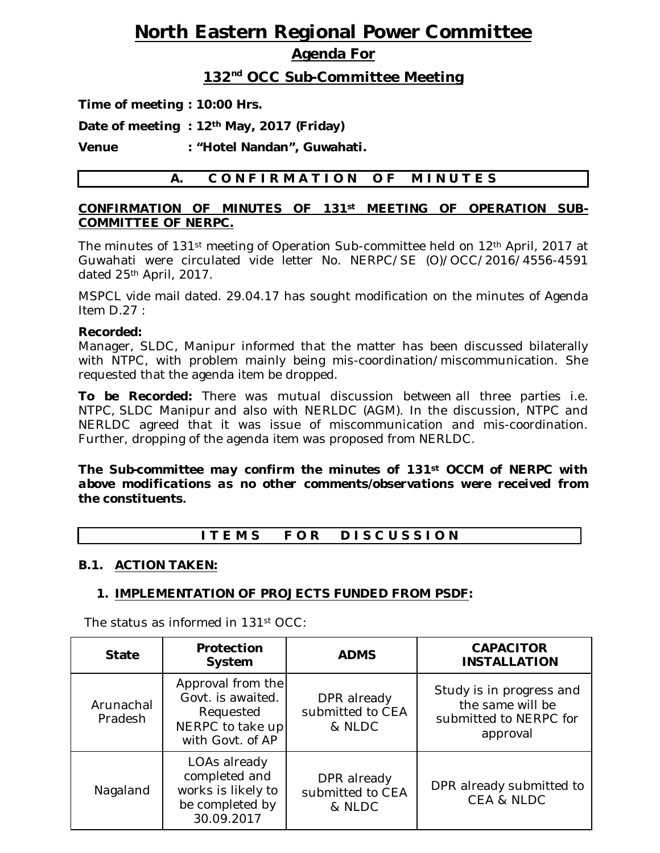# **North Eastern Regional Power Committee**

### **Agenda For**

### **132 nd OCC Sub-Committee Meeting**

**Time of meeting : 10:00 Hrs.**

**Date of meeting : 12th May, 2017 (Friday)** 

**Venue : "Hotel Nandan", Guwahati.**

### A. CONFIRMATION OF MINUTES

### **CONFIRMATION OF MINUTES OF 131st MEETING OF OPERATION SUB-COMMITTEE OF NERPC.**

The minutes of 131st meeting of Operation Sub-committee held on 12th April, 2017 at Guwahati were circulated vide letter No. NERPC/SE (O)/OCC/2016/4556-4591 dated 25th April, 2017.

MSPCL vide mail dated. 29.04.17 has sought modification on the minutes of Agenda Item D.27 :

### **Recorded:**

Manager, SLDC, Manipur informed that the matter has been discussed bilaterally with NTPC, with problem mainly being mis-coordination/miscommunication. She requested that the agenda item be dropped.

**To be Recorded:** There was mutual discussion between all three parties i.e. NTPC, SLDC Manipur and also with NERLDC (AGM). In the discussion, NTPC and NERLDC agreed that it was issue of miscommunication and mis-coordination. Further, dropping of the agenda item was proposed from NERLDC.

*The Sub-committee may confirm the minutes of 131st OCCM of NERPC with above modifications as no other comments/observations were received from the constituents.* 

### I T E M S F O R D I S C U S S I O N

### **B.1. ACTION TAKEN:**

### **1. IMPLEMENTATION OF PROJECTS FUNDED FROM PSDF:**

The status as informed in 131st OCC:

| <b>State</b>         | Protection<br>System                                                                        | <b>ADMS</b>                               | <b>CAPACITOR</b><br><b>INSTALLATION</b>                                            |
|----------------------|---------------------------------------------------------------------------------------------|-------------------------------------------|------------------------------------------------------------------------------------|
| Arunachal<br>Pradesh | Approval from the<br>Govt. is awaited.<br>Requested<br>NERPC to take up<br>with Govt. of AP | DPR already<br>submitted to CEA<br>& NLDC | Study is in progress and<br>the same will be<br>submitted to NERPC for<br>approval |
| Nagaland             | LOAs already<br>completed and<br>works is likely to<br>be completed by<br>30.09.2017        | DPR already<br>submitted to CEA<br>& NLDC | DPR already submitted to<br><b>CEA &amp; NLDC</b>                                  |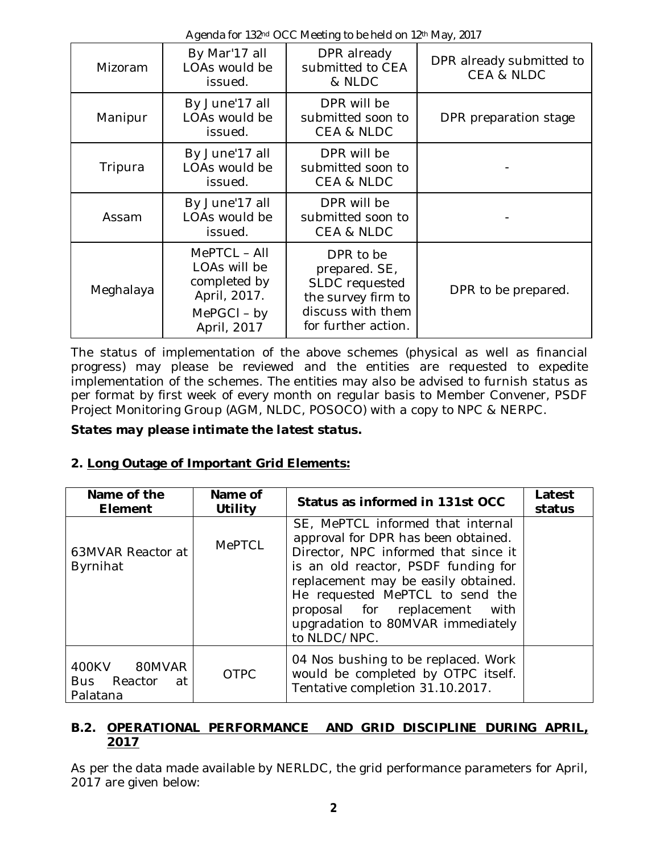Agenda for 132<sup>nd</sup> OCC Meeting to be held on 12<sup>th</sup> May, 2017

| Mizoram   | By Mar'17 all<br>LOAs would be<br>issued.                                                    | DPR already<br>submitted to CEA<br>& NLDC                                                                      | DPR already submitted to<br><b>CEA &amp; NLDC</b> |
|-----------|----------------------------------------------------------------------------------------------|----------------------------------------------------------------------------------------------------------------|---------------------------------------------------|
| Manipur   | By June'17 all<br>LOAs would be<br>issued.                                                   | DPR will be<br>submitted soon to<br><b>CEA &amp; NLDC</b>                                                      | DPR preparation stage                             |
| Tripura   | By June'17 all<br>LOAs would be<br>issued.                                                   | DPR will be<br>submitted soon to<br><b>CEA &amp; NLDC</b>                                                      |                                                   |
| Assam     | By June'17 all<br>LOAs would be<br>issued.                                                   | DPR will be<br>submitted soon to<br><b>CEA &amp; NLDC</b>                                                      |                                                   |
| Meghalaya | MePTCL - All<br>LOAs will be<br>completed by<br>April, 2017.<br>$MePGCI - by$<br>April, 2017 | DPR to be<br>prepared. SE,<br>SLDC requested<br>the survey firm to<br>discuss with them<br>for further action. | DPR to be prepared.                               |

The status of implementation of the above schemes (physical as well as financial progress) may please be reviewed and the entities are requested to expedite implementation of the schemes. The entities may also be advised to furnish status as per format by first week of every month on regular basis to Member Convener, PSDF Project Monitoring Group (AGM, NLDC, POSOCO) with a copy to NPC & NERPC.

*States may please intimate the latest status.*

### **2. Long Outage of Important Grid Elements:**

| Name of the<br>Element                     | Name of<br>Utility | Status as informed in 131st OCC                                                                                                                                                                                                                                                                                         | Latest<br>status |
|--------------------------------------------|--------------------|-------------------------------------------------------------------------------------------------------------------------------------------------------------------------------------------------------------------------------------------------------------------------------------------------------------------------|------------------|
| 63MVAR Reactor at<br>Byrnihat              | <b>MePTCL</b>      | SE, MePTCL informed that internal<br>approval for DPR has been obtained.<br>Director, NPC informed that since it<br>is an old reactor, PSDF funding for<br>replacement may be easily obtained.<br>He requested MePTCL to send the<br>proposal for replacement with<br>upgradation to 80MVAR immediately<br>to NLDC/NPC. |                  |
| 400KV 80MVAR<br>Bus Reactor at<br>Palatana | <b>OTPC</b>        | 04 Nos bushing to be replaced. Work<br>would be completed by OTPC itself.<br>Tentative completion 31.10.2017.                                                                                                                                                                                                           |                  |

### **B.2. OPERATIONAL PERFORMANCE AND GRID DISCIPLINE DURING APRIL, 2017**

As per the data made available by NERLDC, the grid performance parameters for April, 2017 are given below: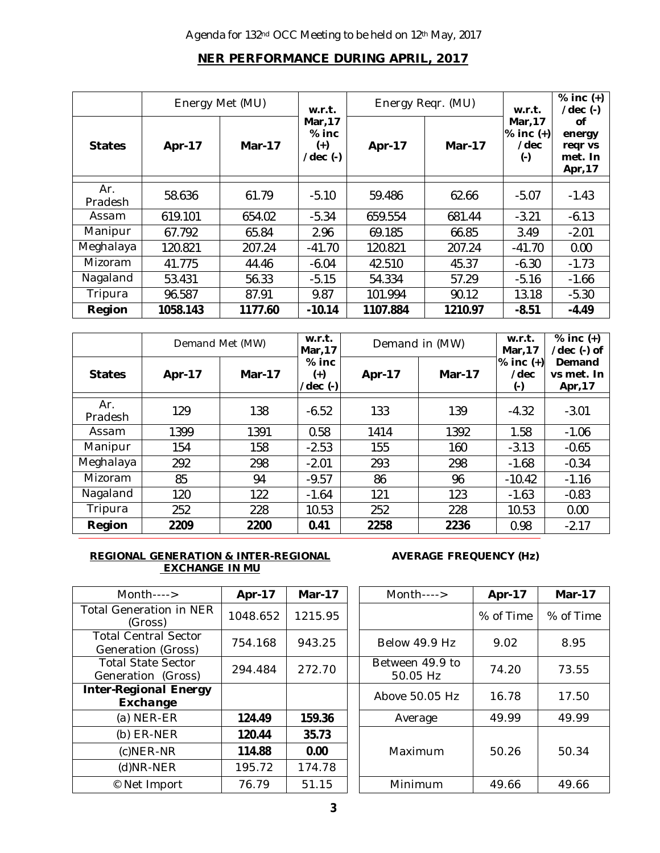### **NER PERFORMANCE DURING APRIL, 2017**

|                       | Energy Met (MU) |               | w.r.t.                                                |          | Energy Reqr. (MU) | w.r.t.                                        | $%$ inc $(+)$<br>$/\text{dec}$ $(-)$          |
|-----------------------|-----------------|---------------|-------------------------------------------------------|----------|-------------------|-----------------------------------------------|-----------------------------------------------|
| <b>States</b>         | <b>Apr-17</b>   | <b>Mar-17</b> | Mar, 17<br>$%$ inc<br>$^{(+)}$<br>$/\text{dec}$ $(-)$ | Apr-17   | <b>Mar-17</b>     | Mar, 17<br>$%$ inc $(+)$<br>/dec<br>$(\cdot)$ | οf<br>energy<br>regr vs<br>met. In<br>Apr, 17 |
| Ar.<br><b>Pradesh</b> | 58.636          | 61.79         | $-5.10$                                               | 59.486   | 62.66             | $-5.07$                                       | $-1.43$                                       |
| Assam                 | 619.101         | 654.02        | $-5.34$                                               | 659.554  | 681.44            | $-3.21$                                       | $-6.13$                                       |
| Manipur               | 67.792          | 65.84         | 2.96                                                  | 69.185   | 66.85             | 3.49                                          | $-2.01$                                       |
| Meghalaya             | 120.821         | 207.24        | $-41.70$                                              | 120.821  | 207.24            | $-41.70$                                      | 0.00                                          |
| <b>Mizoram</b>        | 41.775          | 44.46         | $-6.04$                                               | 42.510   | 45.37             | $-6.30$                                       | $-1.73$                                       |
| Nagaland              | 53.431          | 56.33         | $-5.15$                                               | 54.334   | 57.29             | $-5.16$                                       | $-1.66$                                       |
| Tripura               | 96.587          | 87.91         | 9.87                                                  | 101.994  | 90.12             | 13.18                                         | $-5.30$                                       |
| Region                | 1058.143        | 1177.60       | $-10.14$                                              | 1107.884 | 1210.97           | $-8.51$                                       | $-4.49$                                       |

|                | Demand Met (MW) |               | w.r.t.<br>Demand in (MW)<br>Mar, 17      |               | w.r.t.<br>Mar, 17 | $%$ inc $(+)$<br>$/$ dec $($ - $)$ of |                                 |
|----------------|-----------------|---------------|------------------------------------------|---------------|-------------------|---------------------------------------|---------------------------------|
| <b>States</b>  | <b>Apr-17</b>   | <b>Mar-17</b> | $%$ inc<br>$^{(+)}$<br>$/$ dec $($ - $)$ | <b>Apr-17</b> | <b>Mar-17</b>     | $%$ inc $(+)$<br>/dec<br>$(\cdot)$    | Demand<br>vs met. In<br>Apr, 17 |
| Ar.<br>Pradesh | 129             | 138           | $-6.52$                                  | 133           | 139               | $-4.32$                               | $-3.01$                         |
| Assam          | 1399            | 1391          | 0.58                                     | 1414          | 1392              | 1.58                                  | $-1.06$                         |
| Manipur        | 154             | 158           | $-2.53$                                  | 155           | 160               | $-3.13$                               | $-0.65$                         |
| Meghalaya      | 292             | 298           | $-2.01$                                  | 293           | 298               | $-1.68$                               | $-0.34$                         |
| Mizoram        | 85              | 94            | $-9.57$                                  | 86            | 96                | $-10.42$                              | $-1.16$                         |
| Nagaland       | 120             | 122           | $-1.64$                                  | 121           | 123               | $-1.63$                               | $-0.83$                         |
| Tripura        | 252             | 228           | 10.53                                    | 252           | 228               | 10.53                                 | 0.00                            |
| Region         | 2209            | 2200          | 0.41                                     | 2258          | 2236              | 0.98                                  | $-2.17$                         |

#### **REGIONAL GENERATION & INTER-REGIONAL EXCHANGE IN MU**

**AVERAGE FREQUENCY (Hz)**

| $Month---$                                        | Apr-17   | <b>Mar-17</b> | Month---->                  | Apr-17    | <b>Mar-17</b> |
|---------------------------------------------------|----------|---------------|-----------------------------|-----------|---------------|
| <b>Total Generation in NER</b><br>(Gross)         | 1048.652 | 1215.95       |                             | % of Time | % of Tim      |
| <b>Total Central Sector</b><br>Generation (Gross) | 754.168  | 943.25        | Below 49.9 Hz               | 9.02      | 8.95          |
| <b>Total State Sector</b><br>Generation (Gross)   | 294.484  | 272.70        | Between 49.9 to<br>50.05 Hz | 74.20     | 73.55         |
| <b>Inter-Regional Energy</b><br>Exchange          |          |               | Above 50.05 Hz              | 16.78     | 17.50         |
| $(a)$ NER-ER                                      | 124.49   | 159.36        | Average                     | 49.99     | 49.99         |
| $(b)$ ER-NER                                      | 120.44   | 35.73         |                             |           |               |
| $(c)$ NER-NR                                      | 114.88   | 0.00          | Maximum                     | 50.26     | 50.34         |
| (d)NR-NER                                         | 195.72   | 174.78        |                             |           |               |
| © Net Import                                      | 76.79    | 51.15         | Minimum                     | 49.66     | 49.66         |

| $M$ onth---->                         | Apr-17   | Mar-17  | $M$ onth---->               | Apr-17    | Mar-17 $\prime$ |
|---------------------------------------|----------|---------|-----------------------------|-----------|-----------------|
| Generation in NER<br>(Gross)          | 1048.652 | 1215.95 |                             | % of Time | % of Time       |
| al Central Sector<br>neration (Gross) | 754.168  | 943.25  | Below 49.9 Hz               | 9.02      | 8.95            |
| tal State Sector<br>eration (Gross)   | 294.484  | 272.70  | Between 49.9 to<br>50.05 Hz | 74.20     | 73.55           |
| <b>Regional Energy</b><br>Exchange    |          |         | Above 50.05 Hz              | 16.78     | 17.50           |
| $(a)$ NER-ER                          | 124.49   | 159.36  | Average                     | 49.99     | 49.99           |
| $(b)$ ER-NER                          | 120.44   | 35.73   |                             |           |                 |
| $(c)$ NER-NR                          | 114.88   | 0.00    | Maximum                     | 50.26     | 50.34           |
| $(d)$ NR-NER                          | 195.72   | 174.78  |                             |           |                 |
| © Net Import                          | 76.79    | 51.15   | Minimum                     | 49.66     | 49.66           |
|                                       |          |         |                             |           |                 |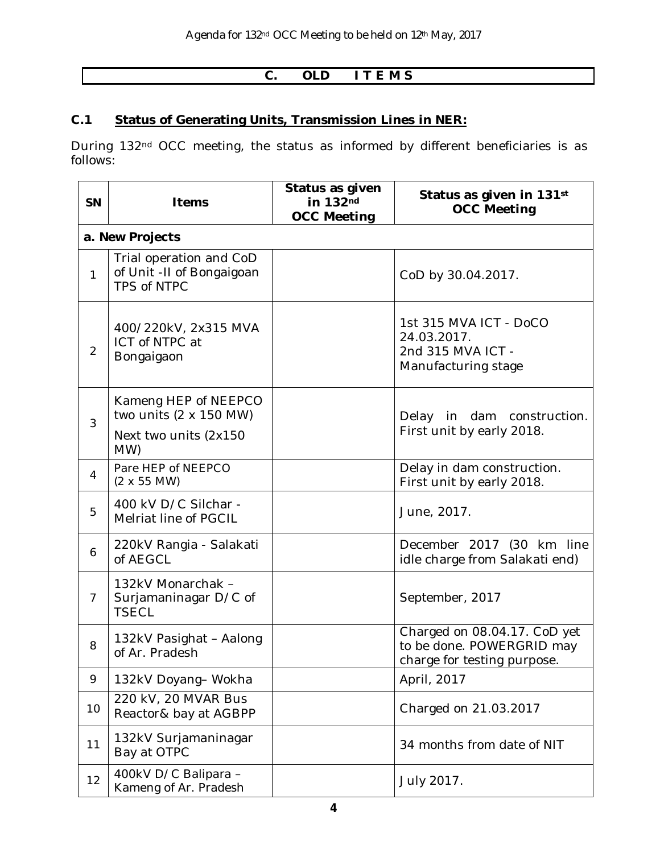### **C. OLD I T E M S**

### **C.1 Status of Generating Units, Transmission Lines in NER:**

During 132nd OCC meeting, the status as informed by different beneficiaries is as follows:

| <b>SN</b>      | Items                                                                                          | Status as given<br>in 132nd<br><b>OCC Meeting</b> | Status as given in 131st<br><b>OCC Meeting</b>                                           |
|----------------|------------------------------------------------------------------------------------------------|---------------------------------------------------|------------------------------------------------------------------------------------------|
|                | a. New Projects                                                                                |                                                   |                                                                                          |
| $\mathbf{1}$   | Trial operation and CoD<br>of Unit -II of Bongaigoan<br>TPS of NTPC                            |                                                   | CoD by 30.04.2017.                                                                       |
| $\overline{2}$ | 400/220kV, 2x315 MVA<br>ICT of NTPC at<br>Bongaigaon                                           |                                                   | 1st 315 MVA ICT - DoCO<br>24.03.2017.<br>2nd 315 MVA ICT -<br>Manufacturing stage        |
| 3              | Kameng HEP of NEEPCO<br>two units $(2 \times 150 \text{ MW})$<br>Next two units (2x150)<br>MW) |                                                   | Delay in dam construction.<br>First unit by early 2018.                                  |
| $\overline{4}$ | Pare HEP of NEEPCO<br>$(2 \times 55$ MW)                                                       |                                                   | Delay in dam construction.<br>First unit by early 2018.                                  |
| 5              | 400 kV D/C Silchar -<br>Melriat line of PGCIL                                                  |                                                   | June, 2017.                                                                              |
| 6              | 220kV Rangia - Salakati<br>of AEGCL                                                            |                                                   | December 2017 (30 km line<br>idle charge from Salakati end)                              |
| $\overline{7}$ | 132kV Monarchak -<br>Surjamaninagar D/C of<br><b>TSECL</b>                                     |                                                   | September, 2017                                                                          |
| 8              | 132kV Pasighat - Aalong<br>of Ar. Pradesh                                                      |                                                   | Charged on 08.04.17. CoD yet<br>to be done. POWERGRID may<br>charge for testing purpose. |
| 9              | 132kV Doyang-Wokha                                                                             |                                                   | April, 2017                                                                              |
| 10             | 220 kV, 20 MVAR Bus<br>Reactor& bay at AGBPP                                                   |                                                   | Charged on 21.03.2017                                                                    |
| 11             | 132kV Surjamaninagar<br>Bay at OTPC                                                            |                                                   | 34 months from date of NIT                                                               |
| 12             | 400kV D/C Balipara -<br>Kameng of Ar. Pradesh                                                  |                                                   | July 2017.                                                                               |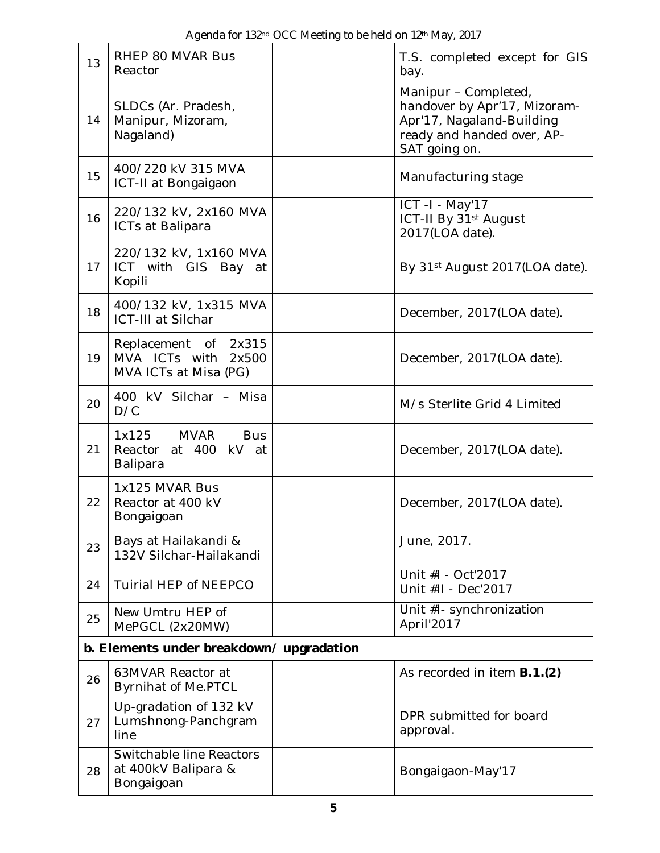| 13 | RHEP 80 MVAR Bus<br>Reactor                                            | T.S. completed except for GIS<br>bay.                                                                                            |
|----|------------------------------------------------------------------------|----------------------------------------------------------------------------------------------------------------------------------|
| 14 | SLDCs (Ar. Pradesh,<br>Manipur, Mizoram,<br>Nagaland)                  | Manipur - Completed,<br>handover by Apr'17, Mizoram-<br>Apr'17, Nagaland-Building<br>ready and handed over, AP-<br>SAT going on. |
| 15 | 400/220 kV 315 MVA<br>ICT-II at Bongaigaon                             | Manufacturing stage                                                                                                              |
| 16 | 220/132 kV, 2x160 MVA<br>ICTs at Balipara                              | ICT -I - May'17<br>ICT-II By 31 <sup>st</sup> August<br>2017(LOA date).                                                          |
| 17 | 220/132 kV, 1x160 MVA<br>ICT with GIS Bay at<br>Kopili                 | By 31 <sup>st</sup> August 2017(LOA date).                                                                                       |
| 18 | 400/132 kV, 1x315 MVA<br>ICT-III at Silchar                            | December, 2017(LOA date).                                                                                                        |
| 19 | Replacement of 2x315<br>MVA ICTs with 2x500<br>MVA ICTs at Misa (PG)   | December, 2017(LOA date).                                                                                                        |
| 20 | 400 kV Silchar - Misa<br>D/C                                           | M/s Sterlite Grid 4 Limited                                                                                                      |
| 21 | <b>MVAR</b><br>1x125<br><b>Bus</b><br>Reactor at 400 kV at<br>Balipara | December, 2017(LOA date).                                                                                                        |
| 22 | 1x125 MVAR Bus<br>Reactor at 400 kV<br>Bongaigoan                      | December, 2017(LOA date).                                                                                                        |
| 23 | Bays at Hailakandi &<br>132V Silchar-Hailakandi                        | June, 2017.                                                                                                                      |
| 24 | Tuirial HEP of NEEPCO                                                  | Unit #I - Oct'2017<br>Unit #II - Dec'2017                                                                                        |
| 25 | New Umtru HEP of<br>MePGCL (2x20MW)                                    | Unit #I- synchronization<br>April'2017                                                                                           |
|    | b. Elements under breakdown/upgradation                                |                                                                                                                                  |
| 26 | 63MVAR Reactor at<br><b>Byrnihat of Me.PTCL</b>                        | As recorded in item <b>B.1.(2)</b>                                                                                               |
| 27 | Up-gradation of 132 kV<br>Lumshnong-Panchgram<br>line                  | DPR submitted for board<br>approval.                                                                                             |
| 28 | Switchable line Reactors<br>at 400kV Balipara &<br>Bongaigoan          | Bongaigaon-May'17                                                                                                                |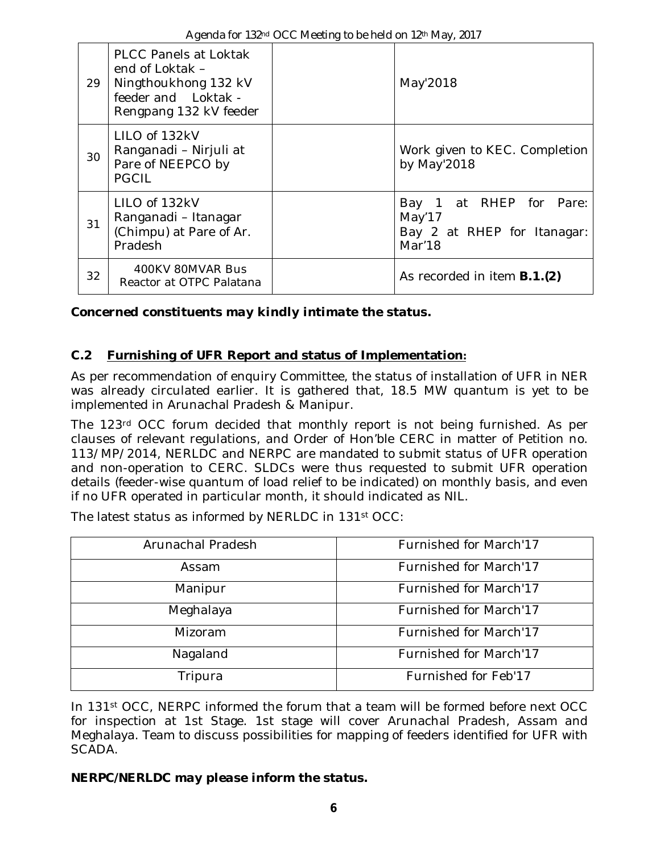| 29 | <b>PLCC Panels at Loktak</b><br>end of Loktak -<br>Ningthoukhong 132 kV<br>feeder and Loktak -<br>Rengpang 132 kV feeder | May'2018                                                                   |
|----|--------------------------------------------------------------------------------------------------------------------------|----------------------------------------------------------------------------|
| 30 | LILO of 132kV<br>Ranganadi - Nirjuli at<br>Pare of NEEPCO by<br><b>PGCIL</b>                                             | Work given to KEC. Completion<br>by May'2018                               |
| 31 | LILO of 132kV<br>Ranganadi - Itanagar<br>(Chimpu) at Pare of Ar.<br>Pradesh                                              | Bay 1 at RHEP for Pare:<br>May'17<br>Bay 2 at RHEP for Itanagar:<br>Mar'18 |
| 32 | 400KV 80MVAR Bus<br>Reactor at OTPC Palatana                                                                             | As recorded in item <b>B.1.(2)</b>                                         |

*Concerned constituents may kindly intimate the status.*

### **C.2 Furnishing of UFR Report and status of Implementation:**

As per recommendation of enquiry Committee, the status of installation of UFR in NER was already circulated earlier. It is gathered that, 18.5 MW quantum is yet to be implemented in Arunachal Pradesh & Manipur.

The 123rd OCC forum decided that monthly report is not being furnished. As per clauses of relevant regulations, and Order of Hon'ble CERC in matter of Petition no. 113/MP/2014, NERLDC and NERPC are mandated to submit status of UFR operation and non-operation to CERC. SLDCs were thus requested to submit UFR operation details (feeder-wise quantum of load relief to be indicated) on monthly basis, and even if no UFR operated in particular month, it should indicated as NIL.

| Arunachal Pradesh | Furnished for March'17 |
|-------------------|------------------------|
| Assam             | Furnished for March'17 |
| Manipur           | Furnished for March'17 |
| Meghalaya         | Furnished for March'17 |
| Mizoram           | Furnished for March'17 |
| Nagaland          | Furnished for March'17 |
| Tripura           | Furnished for Feb'17   |

The latest status as informed by NERLDC in 131st OCC:

In 131st OCC, NERPC informed the forum that a team will be formed before next OCC for inspection at 1st Stage. 1st stage will cover Arunachal Pradesh, Assam and Meghalaya. Team to discuss possibilities for mapping of feeders identified for UFR with SCADA.

### *NERPC/NERLDC may please inform the status.*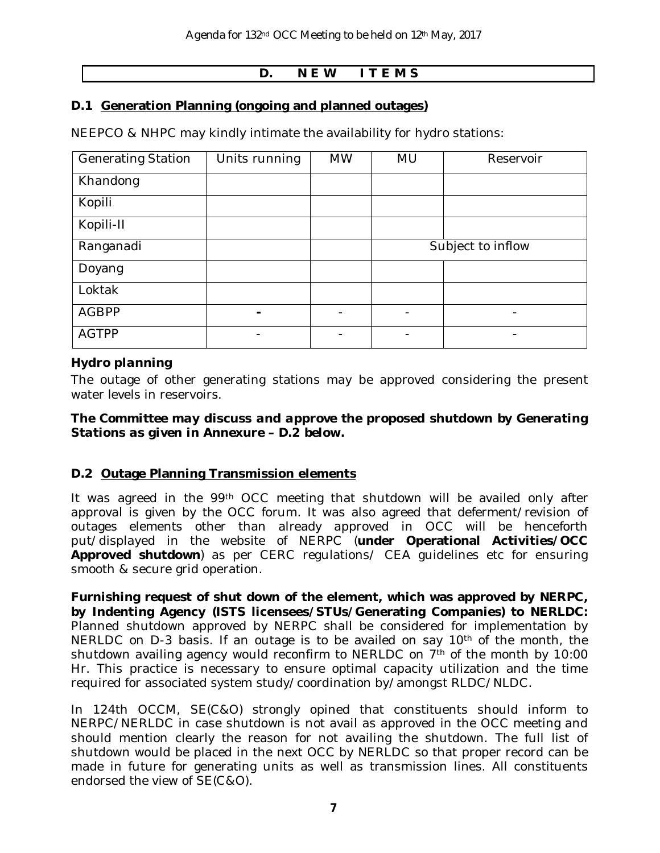### **D. N E W I T E M S**

### **D.1 Generation Planning (ongoing and planned outages)**

NEEPCO & NHPC may kindly intimate the availability for hydro stations:

| <b>Generating Station</b> | Units running | <b>MW</b> | <b>MU</b>         | Reservoir      |  |
|---------------------------|---------------|-----------|-------------------|----------------|--|
| Khandong                  |               |           |                   |                |  |
| Kopili                    |               |           |                   |                |  |
| Kopili-II                 |               |           |                   |                |  |
| Ranganadi                 |               |           | Subject to inflow |                |  |
| Doyang                    |               |           |                   |                |  |
| Loktak                    |               |           |                   |                |  |
| <b>AGBPP</b>              | ۰             |           |                   | $\overline{a}$ |  |
| <b>AGTPP</b>              |               |           |                   |                |  |

### *Hydro planning*

The outage of other generating stations may be approved considering the present water levels in reservoirs.

#### *The Committee may discuss and approve the proposed shutdown by Generating Stations as given in Annexure – D.2 below.*

### **D.2 Outage Planning Transmission elements**

It was agreed in the 99th OCC meeting that shutdown will be availed only after approval is given by the OCC forum. It was also agreed that deferment/revision of outages elements other than already approved in OCC will be henceforth put/displayed in the website of NERPC (**under Operational Activities/OCC Approved shutdown**) as per CERC regulations/ CEA guidelines etc for ensuring smooth & secure grid operation.

**Furnishing request of shut down of the element, which was approved by NERPC, by Indenting Agency (ISTS licensees/STUs/Generating Companies) to NERLDC:**  Planned shutdown approved by NERPC shall be considered for implementation by NERLDC on D-3 basis. If an outage is to be availed on say 10<sup>th</sup> of the month, the shutdown availing agency would reconfirm to NERLDC on 7<sup>th</sup> of the month by 10:00 Hr. This practice is necessary to ensure optimal capacity utilization and the time required for associated system study/coordination by/amongst RLDC/NLDC.

In 124th OCCM, SE(C&O) strongly opined that constituents should inform to NERPC/NERLDC in case shutdown is not avail as approved in the OCC meeting and should mention clearly the reason for not availing the shutdown. The full list of shutdown would be placed in the next OCC by NERLDC so that proper record can be made in future for generating units as well as transmission lines. All constituents endorsed the view of SE(C&O).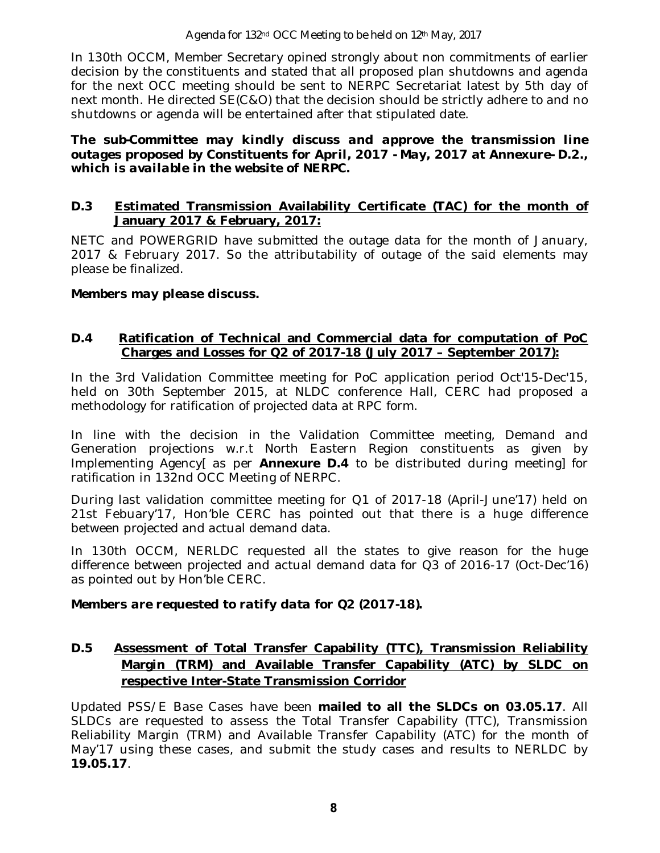Agenda for 132nd OCC Meeting to be held on 12th May, 2017

In 130th OCCM, Member Secretary opined strongly about non commitments of earlier decision by the constituents and stated that all proposed plan shutdowns and agenda for the next OCC meeting should be sent to NERPC Secretariat latest by 5th day of next month. He directed SE(C&O) that the decision should be strictly adhere to and no shutdowns or agenda will be entertained after that stipulated date.

*The sub-Committee may kindly discuss and approve the transmission line outages proposed by Constituents for April, 2017 - May, 2017 at Annexure- D.2., which is available in the website of NERPC.*

### **D.3 Estimated Transmission Availability Certificate (TAC) for the month of January 2017 & February, 2017:**

NETC and POWERGRID have submitted the outage data for the month of January, 2017 & February 2017. So the attributability of outage of the said elements may please be finalized.

### *Members may please discuss.*

### **D.4 Ratification of Technical and Commercial data for computation of PoC Charges and Losses for Q2 of 2017-18 (July 2017 – September 2017):**

In the 3rd Validation Committee meeting for PoC application period Oct'15-Dec'15, held on 30th September 2015, at NLDC conference Hall, CERC had proposed a methodology for ratification of projected data at RPC form.

In line with the decision in the Validation Committee meeting, Demand and Generation projections w.r.t North Eastern Region constituents as given by Implementing Agency[ as per **Annexure D.4** to be distributed during meeting] for ratification in 132nd OCC Meeting of NERPC.

During last validation committee meeting for Q1 of 2017-18 (April-June'17) held on 21st Febuary'17, Hon'ble CERC has pointed out that there is a huge difference between projected and actual demand data.

In 130th OCCM, NERLDC requested all the states to give reason for the huge difference between projected and actual demand data for Q3 of 2016-17 (Oct-Dec'16) as pointed out by Hon'ble CERC.

### *Members are requested to ratify data for Q2 (2017-18).*

### **D.5 Assessment of Total Transfer Capability (TTC), Transmission Reliability Margin (TRM) and Available Transfer Capability (ATC) by SLDC on respective Inter-State Transmission Corridor**

Updated PSS/E Base Cases have been **mailed to all the SLDCs on 03.05.17**. All SLDCs are requested to assess the Total Transfer Capability (TTC), Transmission Reliability Margin (TRM) and Available Transfer Capability (ATC) for the month of May'17 using these cases, and submit the study cases and results to NERLDC by **19.05.17**.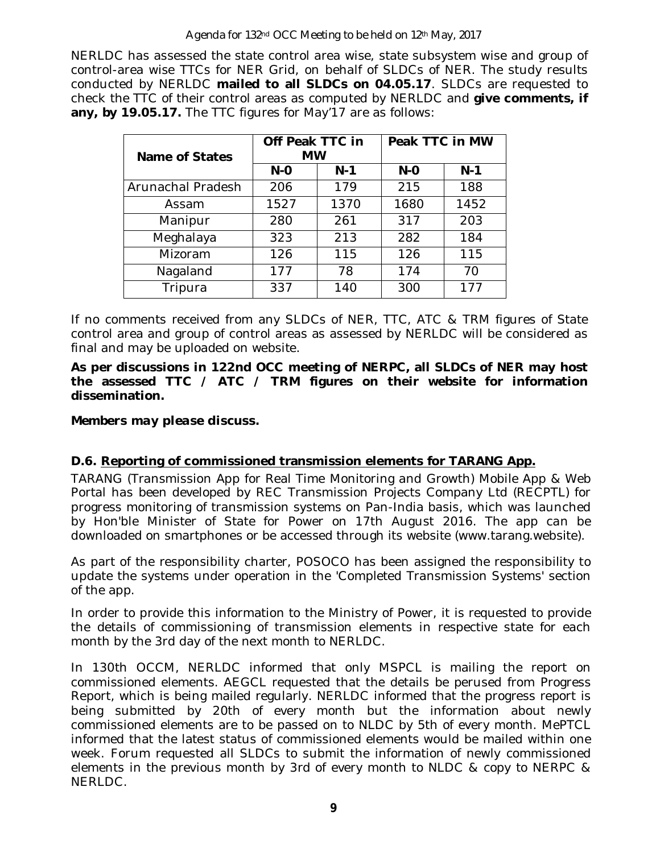#### Agenda for 132<sup>nd</sup> OCC Meeting to be held on 12<sup>th</sup> May, 2017

NERLDC has assessed the state control area wise, state subsystem wise and group of control-area wise TTCs for NER Grid, on behalf of SLDCs of NER. The study results conducted by NERLDC **mailed to all SLDCs on 04.05.17**. SLDCs are requested to check the TTC of their control areas as computed by NERLDC and **give comments, if any, by 19.05.17.** The TTC figures for May'17 are as follows:

| <b>Name of States</b> | Off Peak TTC in<br><b>MW</b> |       | Peak TTC in MW |       |  |  |
|-----------------------|------------------------------|-------|----------------|-------|--|--|
|                       | $N-O$                        | $N-1$ | $N-O$          | $N-1$ |  |  |
| Arunachal Pradesh     | 206                          | 179   | 215            | 188   |  |  |
| Assam                 | 1527                         | 1370  | 1680           | 1452  |  |  |
| Manipur               | 280                          | 261   | 317            | 203   |  |  |
| Meghalaya             | 323                          | 213   | 282            | 184   |  |  |
| Mizoram               | 126                          | 115   | 126            | 115   |  |  |
| Nagaland              | 177                          | 78    | 174            | 70    |  |  |
| Tripura               | 337                          | 140   | 300            | 177   |  |  |

If no comments received from any SLDCs of NER, TTC, ATC & TRM figures of State control area and group of control areas as assessed by NERLDC will be considered as final and may be uploaded on website.

**As per discussions in 122nd OCC meeting of NERPC, all SLDCs of NER may host the assessed TTC / ATC / TRM figures on their website for information dissemination.**

*Members may please discuss.*

### **D.6. Reporting of commissioned transmission elements for TARANG App.**

TARANG (Transmission App for Real Time Monitoring and Growth) Mobile App & Web Portal has been developed by REC Transmission Projects Company Ltd (RECPTL) for progress monitoring of transmission systems on Pan-India basis, which was launched by Hon'ble Minister of State for Power on 17th August 2016. The app can be downloaded on smartphones or be accessed through its website (www.tarang.website).

As part of the responsibility charter, POSOCO has been assigned the responsibility to update the systems under operation in the 'Completed Transmission Systems' section of the app.

In order to provide this information to the Ministry of Power, it is requested to provide the details of commissioning of transmission elements in respective state for each month by the 3rd day of the next month to NERLDC.

In 130th OCCM, NERLDC informed that only MSPCL is mailing the report on commissioned elements. AEGCL requested that the details be perused from Progress Report, which is being mailed regularly. NERLDC informed that the progress report is being submitted by 20th of every month but the information about newly commissioned elements are to be passed on to NLDC by 5th of every month. MePTCL informed that the latest status of commissioned elements would be mailed within one week. Forum requested all SLDCs to submit the information of newly commissioned elements in the previous month by 3rd of every month to NLDC & copy to NERPC & NERLDC.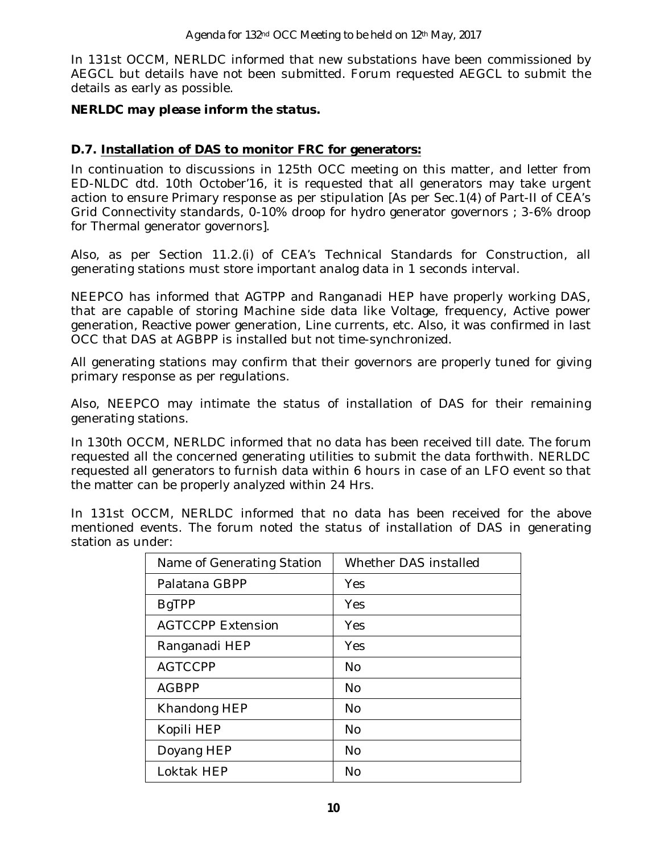In 131st OCCM, NERLDC informed that new substations have been commissioned by AEGCL but details have not been submitted. Forum requested AEGCL to submit the details as early as possible.

### *NERLDC may please inform the status.*

### **D.7. Installation of DAS to monitor FRC for generators:**

In continuation to discussions in 125th OCC meeting on this matter, and letter from ED-NLDC dtd. 10th October'16, it is requested that all generators may take urgent action to ensure Primary response as per stipulation [As per Sec.1(4) of Part-II of CEA's Grid Connectivity standards, 0-10% droop for hydro generator governors ; 3-6% droop for Thermal generator governors].

Also, as per Section 11.2.(i) of CEA's Technical Standards for Construction, all generating stations must store important analog data in 1 seconds interval.

NEEPCO has informed that AGTPP and Ranganadi HEP have properly working DAS, that are capable of storing Machine side data like Voltage, frequency, Active power generation, Reactive power generation, Line currents, etc. Also, it was confirmed in last OCC that DAS at AGBPP is installed but not time-synchronized.

All generating stations may confirm that their governors are properly tuned for giving primary response as per regulations.

Also, NEEPCO may intimate the status of installation of DAS for their remaining generating stations.

In 130th OCCM, NERLDC informed that no data has been received till date. The forum requested all the concerned generating utilities to submit the data forthwith. NERLDC requested all generators to furnish data within 6 hours in case of an LFO event so that the matter can be properly analyzed within 24 Hrs.

In 131st OCCM, NERLDC informed that no data has been received for the above mentioned events. The forum noted the status of installation of DAS in generating station as under:

| Name of Generating Station | Whether DAS installed |
|----------------------------|-----------------------|
| Palatana GBPP              | Yes                   |
| <b>BgTPP</b>               | Yes                   |
| <b>AGTCCPP Extension</b>   | Yes                   |
| Ranganadi HEP              | Yes                   |
| <b>AGTCCPP</b>             | No.                   |
| <b>AGBPP</b>               | N <sub>0</sub>        |
| Khandong HEP               | No.                   |
| Kopili HEP                 | <b>No</b>             |
| Doyang HEP                 | <b>No</b>             |
| Loktak HEP                 | No                    |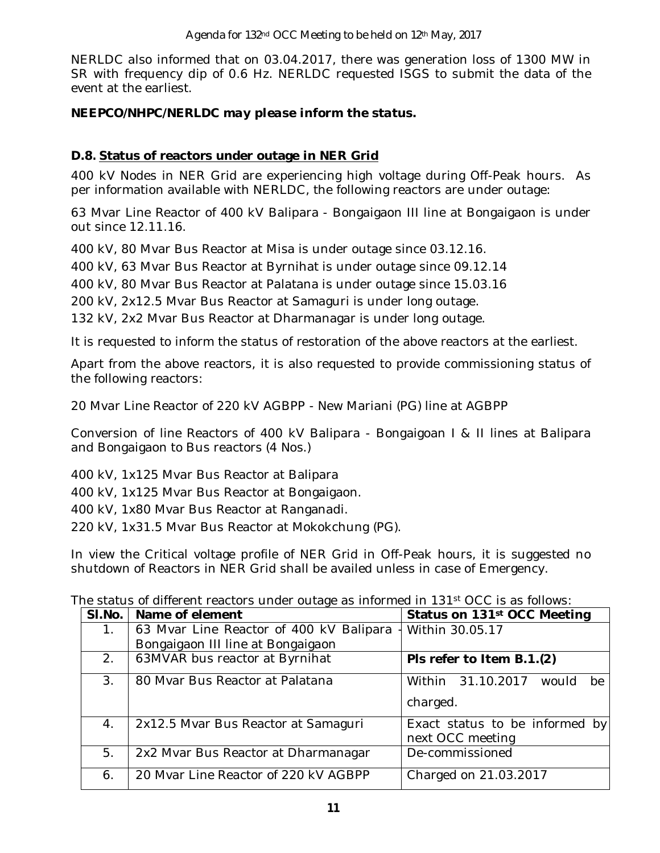NERLDC also informed that on 03.04.2017, there was generation loss of 1300 MW in SR with frequency dip of 0.6 Hz. NERLDC requested ISGS to submit the data of the event at the earliest.

### *NEEPCO/NHPC/NERLDC may please inform the status.*

### **D.8. Status of reactors under outage in NER Grid**

400 kV Nodes in NER Grid are experiencing high voltage during Off-Peak hours. As per information available with NERLDC, the following reactors are under outage:

63 Mvar Line Reactor of 400 kV Balipara - Bongaigaon III line at Bongaigaon is under out since 12.11.16.

400 kV, 80 Mvar Bus Reactor at Misa is under outage since 03.12.16.

400 kV, 63 Mvar Bus Reactor at Byrnihat is under outage since 09.12.14

400 kV, 80 Mvar Bus Reactor at Palatana is under outage since 15.03.16

200 kV, 2x12.5 Mvar Bus Reactor at Samaguri is under long outage.

132 kV, 2x2 Mvar Bus Reactor at Dharmanagar is under long outage.

It is requested to inform the status of restoration of the above reactors at the earliest.

Apart from the above reactors, it is also requested to provide commissioning status of the following reactors:

20 Mvar Line Reactor of 220 kV AGBPP - New Mariani (PG) line at AGBPP

Conversion of line Reactors of 400 kV Balipara - Bongaigoan I & II lines at Balipara and Bongaigaon to Bus reactors (4 Nos.)

400 kV, 1x125 Mvar Bus Reactor at Balipara

400 kV, 1x125 Mvar Bus Reactor at Bongaigaon.

400 kV, 1x80 Mvar Bus Reactor at Ranganadi.

220 kV, 1x31.5 Mvar Bus Reactor at Mokokchung (PG).

In view the Critical voltage profile of NER Grid in Off-Peak hours, it is suggested no shutdown of Reactors in NER Grid shall be availed unless in case of Emergency.

|                | ne status of different reactors under outage as informed in 131 <sup>5</sup> OCC is as follows: |                                                    |  |  |  |  |  |  |
|----------------|-------------------------------------------------------------------------------------------------|----------------------------------------------------|--|--|--|--|--|--|
| SI.No.         | Name of element                                                                                 | Status on 131 <sup>st</sup> OCC Meeting            |  |  |  |  |  |  |
| $1_{\cdot}$    | 63 Mvar Line Reactor of 400 kV Balipara                                                         | Within 30.05.17                                    |  |  |  |  |  |  |
|                | Bongaigaon III line at Bongaigaon                                                               |                                                    |  |  |  |  |  |  |
| 2.             | 63MVAR bus reactor at Byrnihat                                                                  | Pls refer to Item B.1.(2)                          |  |  |  |  |  |  |
| 3 <sub>1</sub> | 80 Mvar Bus Reactor at Palatana                                                                 | Within 31.10.2017<br>would<br>be                   |  |  |  |  |  |  |
|                |                                                                                                 | charged.                                           |  |  |  |  |  |  |
| 4.             | 2x12.5 Mvar Bus Reactor at Samaguri                                                             | Exact status to be informed by<br>next OCC meeting |  |  |  |  |  |  |
| 5.             | 2x2 Mvar Bus Reactor at Dharmanagar                                                             | De-commissioned                                    |  |  |  |  |  |  |
| 6.             | 20 Mvar Line Reactor of 220 kV AGBPP                                                            | Charged on 21.03.2017                              |  |  |  |  |  |  |

The status of different reactors under outage as informed in 131st  $OCC$  is as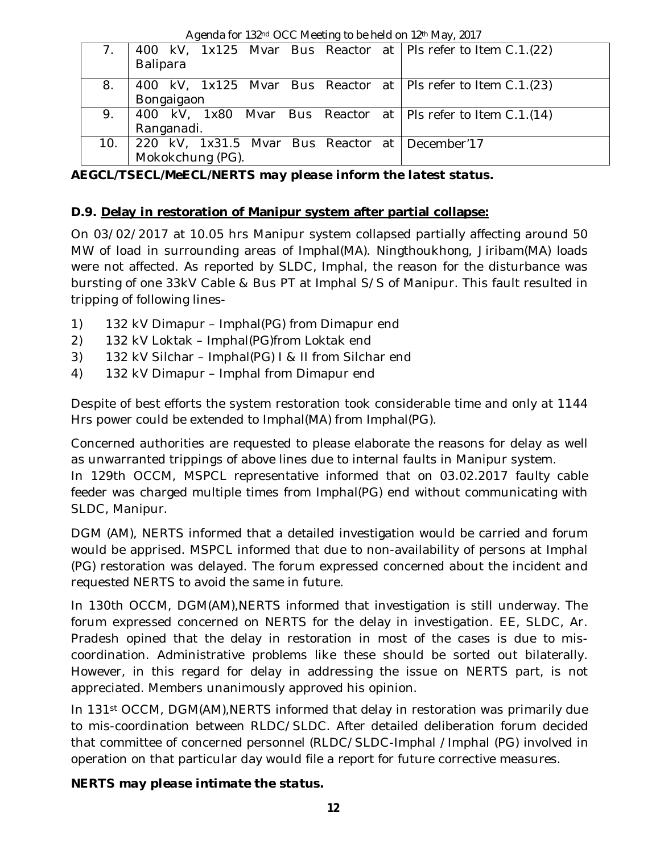Agenda for 132nd OCC Meeting to be held on 12th May, 2017

|     | 400 kV, 1x125 Mvar Bus Reactor at   Pls refer to Item C.1.(22) |  |
|-----|----------------------------------------------------------------|--|
|     | Balipara                                                       |  |
| 8.  | 400 kV, 1x125 Mvar Bus Reactor at   Pls refer to Item C.1.(23) |  |
|     | Bongaigaon                                                     |  |
| 9.  | 400 kV, 1x80 Mvar Bus Reactor at   Pls refer to Item C.1.(14)  |  |
|     | Ranganadi.                                                     |  |
| 10. | 220 kV, 1x31.5 Mvar Bus Reactor at December'17                 |  |
|     | Mokokchung (PG).                                               |  |

*AEGCL/TSECL/MeECL/NERTS may please inform the latest status.*

## **D.9. Delay in restoration of Manipur system after partial collapse:**

On 03/02/2017 at 10.05 hrs Manipur system collapsed partially affecting around 50 MW of load in surrounding areas of Imphal(MA). Ningthoukhong, Jiribam(MA) loads were not affected. As reported by SLDC, Imphal, the reason for the disturbance was bursting of one 33kV Cable & Bus PT at Imphal S/S of Manipur. This fault resulted in tripping of following lines-

- 1) 132 kV Dimapur Imphal(PG) from Dimapur end
- 2) 132 kV Loktak Imphal(PG)from Loktak end
- 3) 132 kV Silchar Imphal(PG) I & II from Silchar end
- 4) 132 kV Dimapur Imphal from Dimapur end

Despite of best efforts the system restoration took considerable time and only at 1144 Hrs power could be extended to Imphal(MA) from Imphal(PG).

Concerned authorities are requested to please elaborate the reasons for delay as well as unwarranted trippings of above lines due to internal faults in Manipur system.

In 129th OCCM, MSPCL representative informed that on 03.02.2017 faulty cable feeder was charged multiple times from Imphal(PG) end without communicating with SLDC, Manipur.

DGM (AM), NERTS informed that a detailed investigation would be carried and forum would be apprised. MSPCL informed that due to non-availability of persons at Imphal (PG) restoration was delayed. The forum expressed concerned about the incident and requested NERTS to avoid the same in future.

In 130th OCCM, DGM(AM),NERTS informed that investigation is still underway. The forum expressed concerned on NERTS for the delay in investigation. EE, SLDC, Ar. Pradesh opined that the delay in restoration in most of the cases is due to miscoordination. Administrative problems like these should be sorted out bilaterally. However, in this regard for delay in addressing the issue on NERTS part, is not appreciated. Members unanimously approved his opinion.

In 131st OCCM, DGM(AM),NERTS informed that delay in restoration was primarily due to mis-coordination between RLDC/SLDC. After detailed deliberation forum decided that committee of concerned personnel (RLDC/SLDC-Imphal /Imphal (PG) involved in operation on that particular day would file a report for future corrective measures.

## *NERTS may please intimate the status.*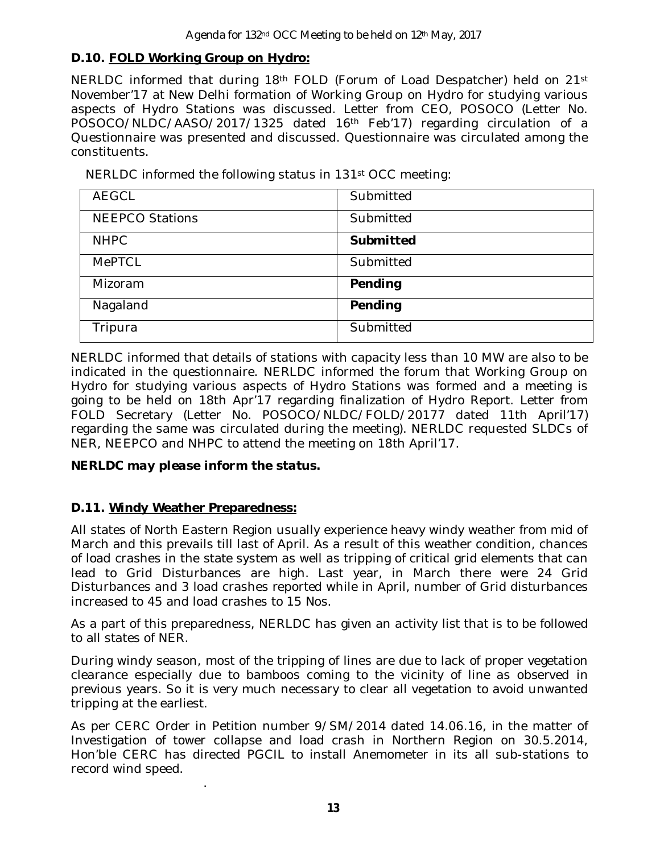### **D.10. FOLD Working Group on Hydro:**

NERLDC informed that during 18th FOLD (Forum of Load Despatcher) held on 21st November'17 at New Delhi formation of Working Group on Hydro for studying various aspects of Hydro Stations was discussed. Letter from CEO, POSOCO (Letter No. POSOCO/NLDC/AASO/2017/1325 dated 16<sup>th</sup> Feb'17) regarding circulation of a Questionnaire was presented and discussed. Questionnaire was circulated among the constituents.

NERLDC informed the following status in 131st OCC meeting:

| <b>AEGCL</b>           | Submitted |
|------------------------|-----------|
| <b>NEEPCO Stations</b> | Submitted |
| <b>NHPC</b>            | Submitted |
| <b>MePTCL</b>          | Submitted |
| Mizoram                | Pending   |
| Nagaland               | Pending   |
| Tripura                | Submitted |

NERLDC informed that details of stations with capacity less than 10 MW are also to be indicated in the questionnaire. NERLDC informed the forum that Working Group on Hydro for studying various aspects of Hydro Stations was formed and a meeting is going to be held on 18th Apr'17 regarding finalization of Hydro Report. Letter from FOLD Secretary (Letter No. POSOCO/NLDC/FOLD/20177 dated 11th April'17) regarding the same was circulated during the meeting). NERLDC requested SLDCs of NER, NEEPCO and NHPC to attend the meeting on 18th April'17.

### *NERLDC may please inform the status.*

### **D.11. Windy Weather Preparedness:**

.

All states of North Eastern Region usually experience heavy windy weather from mid of March and this prevails till last of April. As a result of this weather condition, chances of load crashes in the state system as well as tripping of critical grid elements that can lead to Grid Disturbances are high. Last year, in March there were 24 Grid Disturbances and 3 load crashes reported while in April, number of Grid disturbances increased to 45 and load crashes to 15 Nos.

As a part of this preparedness, NERLDC has given an activity list that is to be followed to all states of NER.

During windy season, most of the tripping of lines are due to lack of proper vegetation clearance especially due to bamboos coming to the vicinity of line as observed in previous years. So it is very much necessary to clear all vegetation to avoid unwanted tripping at the earliest.

As per CERC Order in Petition number 9/SM/2014 dated 14.06.16, in the matter of Investigation of tower collapse and load crash in Northern Region on 30.5.2014, Hon'ble CERC has directed PGCIL to install Anemometer in its all sub-stations to record wind speed.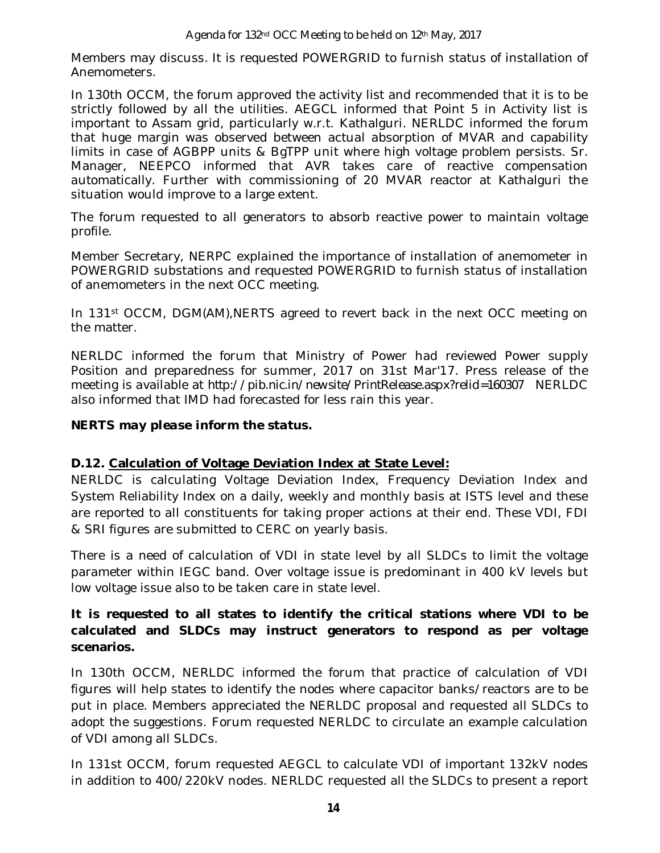Members may discuss. It is requested POWERGRID to furnish status of installation of Anemometers.

In 130th OCCM, the forum approved the activity list and recommended that it is to be strictly followed by all the utilities. AEGCL informed that Point 5 in Activity list is important to Assam grid, particularly w.r.t. Kathalguri. NERLDC informed the forum that huge margin was observed between actual absorption of MVAR and capability limits in case of AGBPP units & BgTPP unit where high voltage problem persists. Sr. Manager, NEEPCO informed that AVR takes care of reactive compensation automatically. Further with commissioning of 20 MVAR reactor at Kathalguri the situation would improve to a large extent.

The forum requested to all generators to absorb reactive power to maintain voltage profile.

Member Secretary, NERPC explained the importance of installation of anemometer in POWERGRID substations and requested POWERGRID to furnish status of installation of anemometers in the next OCC meeting.

In 131<sup>st</sup> OCCM, DGM(AM), NERTS agreed to revert back in the next OCC meeting on the matter.

NERLDC informed the forum that Ministry of Power had reviewed Power supply Position and preparedness for summer, 2017 on 31st Mar'17. Press release of the meeting is available at http://pib.nic.in/newsite/PrintRelease.aspx?relid=160307 NERLDC also informed that IMD had forecasted for less rain this year.

### *NERTS may please inform the status.*

### **D.12. Calculation of Voltage Deviation Index at State Level:**

NERLDC is calculating Voltage Deviation Index, Frequency Deviation Index and System Reliability Index on a daily, weekly and monthly basis at ISTS level and these are reported to all constituents for taking proper actions at their end. These VDI, FDI & SRI figures are submitted to CERC on yearly basis.

There is a need of calculation of VDI in state level by all SLDCs to limit the voltage parameter within IEGC band. Over voltage issue is predominant in 400 kV levels but low voltage issue also to be taken care in state level.

### **It is requested to all states to identify the critical stations where VDI to be calculated and SLDCs may instruct generators to respond as per voltage scenarios.**

In 130th OCCM, NERLDC informed the forum that practice of calculation of VDI figures will help states to identify the nodes where capacitor banks/reactors are to be put in place. Members appreciated the NERLDC proposal and requested all SLDCs to adopt the suggestions. Forum requested NERLDC to circulate an example calculation of VDI among all SLDCs.

In 131st OCCM, forum requested AEGCL to calculate VDI of important 132kV nodes in addition to 400/220kV nodes. NERLDC requested all the SLDCs to present a report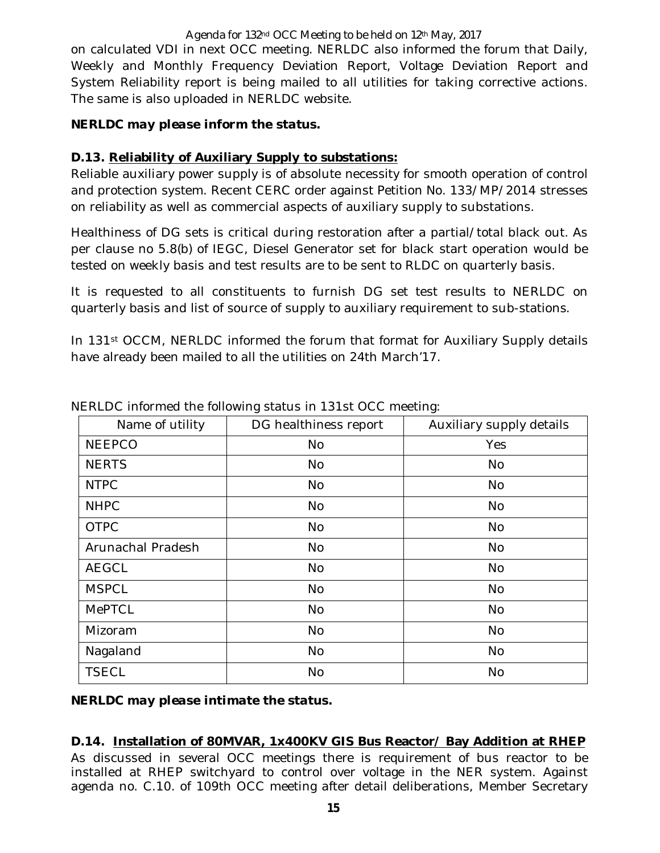Agenda for 132nd OCC Meeting to be held on 12th May, 2017 on calculated VDI in next OCC meeting. NERLDC also informed the forum that Daily, Weekly and Monthly Frequency Deviation Report, Voltage Deviation Report and System Reliability report is being mailed to all utilities for taking corrective actions. The same is also uploaded in NERLDC website.

### *NERLDC may please inform the status.*

### **D.13. Reliability of Auxiliary Supply to substations:**

Reliable auxiliary power supply is of absolute necessity for smooth operation of control and protection system. Recent CERC order against Petition No. 133/MP/2014 stresses on reliability as well as commercial aspects of auxiliary supply to substations.

Healthiness of DG sets is critical during restoration after a partial/total black out. As per clause no 5.8(b) of IEGC, Diesel Generator set for black start operation would be tested on weekly basis and test results are to be sent to RLDC on quarterly basis.

It is requested to all constituents to furnish DG set test results to NERLDC on quarterly basis and list of source of supply to auxiliary requirement to sub-stations.

In 131<sup>st</sup> OCCM, NERLDC informed the forum that format for Auxiliary Supply details have already been mailed to all the utilities on 24th March'17.

| Name of utility   | DG healthiness report | Auxiliary supply details |
|-------------------|-----------------------|--------------------------|
| <b>NEEPCO</b>     | <b>No</b>             | Yes                      |
| <b>NERTS</b>      | <b>No</b>             | <b>No</b>                |
| <b>NTPC</b>       | <b>No</b>             | No                       |
| <b>NHPC</b>       | <b>No</b>             | No                       |
| <b>OTPC</b>       | <b>No</b>             | No                       |
| Arunachal Pradesh | <b>No</b>             | No                       |
| <b>AEGCL</b>      | <b>No</b>             | No                       |
| <b>MSPCL</b>      | <b>No</b>             | No                       |
| <b>MePTCL</b>     | <b>No</b>             | No                       |
| Mizoram           | <b>No</b>             | <b>No</b>                |
| Nagaland          | <b>No</b>             | No                       |
| <b>TSECL</b>      | <b>No</b>             | <b>No</b>                |

NERLDC informed the following status in 131st OCC meeting:

*NERLDC may please intimate the status.*

### **D.14. Installation of 80MVAR, 1x400KV GIS Bus Reactor/ Bay Addition at RHEP**

As discussed in several OCC meetings there is requirement of bus reactor to be installed at RHEP switchyard to control over voltage in the NER system. Against agenda no. C.10. of 109th OCC meeting after detail deliberations, Member Secretary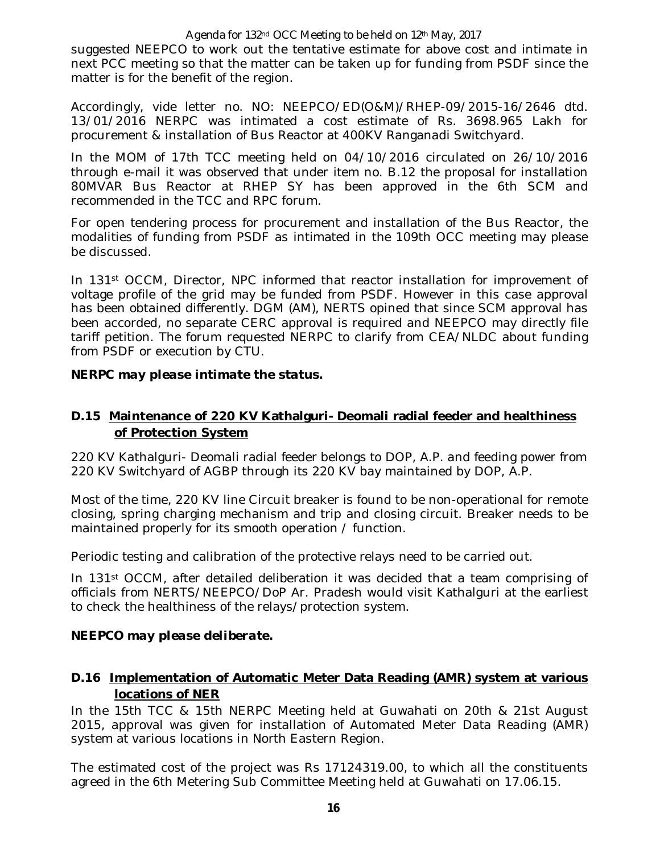#### Agenda for 132<sup>nd</sup> OCC Meeting to be held on 12<sup>th</sup> May, 2017

suggested NEEPCO to work out the tentative estimate for above cost and intimate in next PCC meeting so that the matter can be taken up for funding from PSDF since the matter is for the benefit of the region.

Accordingly, vide letter no. NO: NEEPCO/ED(O&M)/RHEP-09/2015-16/2646 dtd. 13/01/2016 NERPC was intimated a cost estimate of Rs. 3698.965 Lakh for procurement & installation of Bus Reactor at 400KV Ranganadi Switchyard.

In the MOM of 17th TCC meeting held on 04/10/2016 circulated on 26/10/2016 through e-mail it was observed that under item no. B.12 the proposal for installation 80MVAR Bus Reactor at RHEP SY has been approved in the 6th SCM and recommended in the TCC and RPC forum.

For open tendering process for procurement and installation of the Bus Reactor, the modalities of funding from PSDF as intimated in the 109th OCC meeting may please be discussed.

In 131st OCCM, Director, NPC informed that reactor installation for improvement of voltage profile of the grid may be funded from PSDF. However in this case approval has been obtained differently. DGM (AM), NERTS opined that since SCM approval has been accorded, no separate CERC approval is required and NEEPCO may directly file tariff petition. The forum requested NERPC to clarify from CEA/NLDC about funding from PSDF or execution by CTU.

### *NERPC may please intimate the status.*

### **D.15 Maintenance of 220 KV Kathalguri- Deomali radial feeder and healthiness of Protection System**

220 KV Kathalguri- Deomali radial feeder belongs to DOP, A.P. and feeding power from 220 KV Switchyard of AGBP through its 220 KV bay maintained by DOP, A.P.

Most of the time, 220 KV line Circuit breaker is found to be non-operational for remote closing, spring charging mechanism and trip and closing circuit. Breaker needs to be maintained properly for its smooth operation / function.

Periodic testing and calibration of the protective relays need to be carried out.

In 131st OCCM, after detailed deliberation it was decided that a team comprising of officials from NERTS/NEEPCO/DoP Ar. Pradesh would visit Kathalguri at the earliest to check the healthiness of the relays/protection system.

### *NEEPCO may please deliberate.*

### **D.16 Implementation of Automatic Meter Data Reading (AMR) system at various locations of NER**

In the 15th TCC & 15th NERPC Meeting held at Guwahati on 20th & 21st August 2015, approval was given for installation of Automated Meter Data Reading (AMR) system at various locations in North Eastern Region.

The estimated cost of the project was Rs 17124319.00, to which all the constituents agreed in the 6th Metering Sub Committee Meeting held at Guwahati on 17.06.15.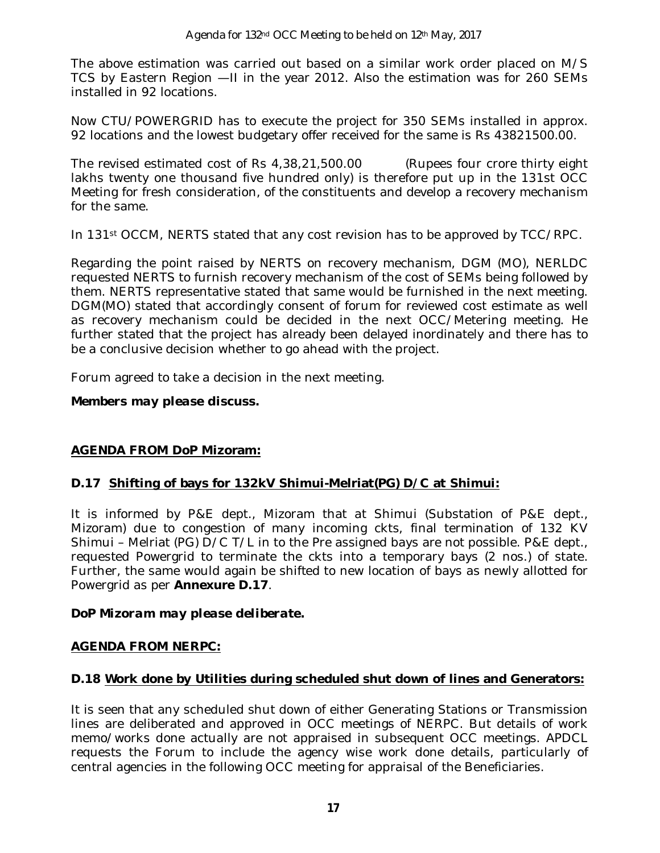The above estimation was carried out based on a similar work order placed on M/S TCS by Eastern Region —II in the year 2012. Also the estimation was for 260 SEMs installed in 92 locations.

Now CTU/POWERGRID has to execute the project for 350 SEMs installed in approx. 92 locations and the lowest budgetary offer received for the same is Rs 43821500.00.

The revised estimated cost of Rs 4,38,21,500.00 (Rupees four crore thirty eight lakhs twenty one thousand five hundred only) is therefore put up in the 131st OCC Meeting for fresh consideration, of the constituents and develop a recovery mechanism for the same.

In 131st OCCM, NERTS stated that any cost revision has to be approved by TCC/RPC.

Regarding the point raised by NERTS on recovery mechanism, DGM (MO), NERLDC requested NERTS to furnish recovery mechanism of the cost of SEMs being followed by them. NERTS representative stated that same would be furnished in the next meeting. DGM(MO) stated that accordingly consent of forum for reviewed cost estimate as well as recovery mechanism could be decided in the next OCC/Metering meeting. He further stated that the project has already been delayed inordinately and there has to be a conclusive decision whether to go ahead with the project.

Forum agreed to take a decision in the next meeting.

#### *Members may please discuss.*

### **AGENDA FROM DoP Mizoram:**

### **D.17 Shifting of bays for 132kV Shimui-Melriat(PG) D/C at Shimui:**

It is informed by P&E dept., Mizoram that at Shimui (Substation of P&E dept., Mizoram) due to congestion of many incoming ckts, final termination of 132 KV Shimui – Melriat (PG) D/C T/L in to the Pre assigned bays are not possible. P&E dept., requested Powergrid to terminate the ckts into a temporary bays (2 nos.) of state. Further, the same would again be shifted to new location of bays as newly allotted for Powergrid as per **Annexure D.17**.

### *DoP Mizoram may please deliberate.*

### **AGENDA FROM NERPC:**

### **D.18 Work done by Utilities during scheduled shut down of lines and Generators:**

It is seen that any scheduled shut down of either Generating Stations or Transmission lines are deliberated and approved in OCC meetings of NERPC. But details of work memo/works done actually are not appraised in subsequent OCC meetings. APDCL requests the Forum to include the agency wise work done details, particularly of central agencies in the following OCC meeting for appraisal of the Beneficiaries.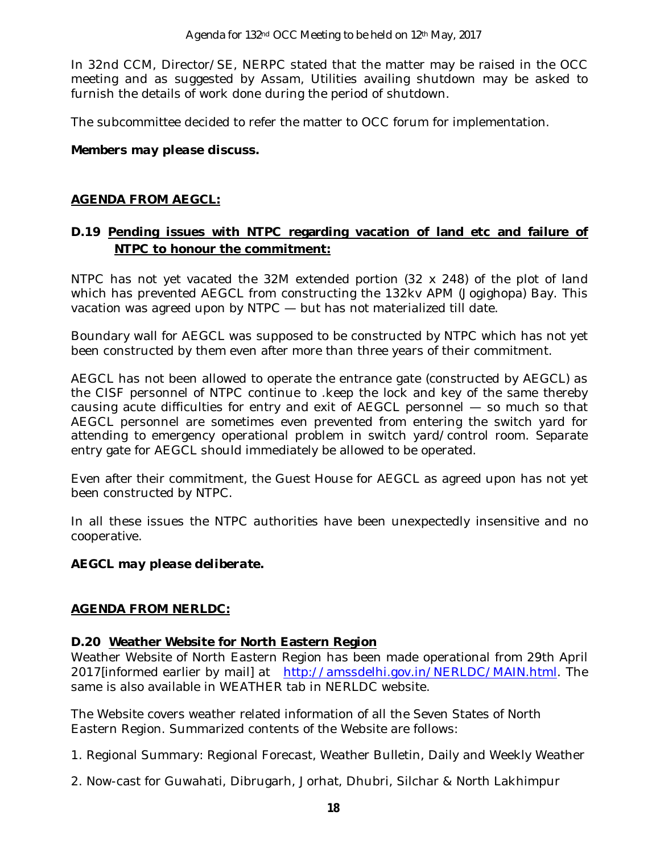In 32nd CCM, Director/SE, NERPC stated that the matter may be raised in the OCC meeting and as suggested by Assam, Utilities availing shutdown may be asked to furnish the details of work done during the period of shutdown.

The subcommittee decided to refer the matter to OCC forum for implementation.

### *Members may please discuss.*

#### **AGENDA FROM AEGCL:**

### **D.19 Pending issues with NTPC regarding vacation of land etc and failure of NTPC to honour the commitment:**

NTPC has not yet vacated the 32M extended portion (32 x 248) of the plot of land which has prevented AEGCL from constructing the 132kv APM (Jogighopa) Bay. This vacation was agreed upon by NTPC — but has not materialized till date.

Boundary wall for AEGCL was supposed to be constructed by NTPC which has not yet been constructed by them even after more than three years of their commitment.

AEGCL has not been allowed to operate the entrance gate (constructed by AEGCL) as the CISF personnel of NTPC continue to .keep the lock and key of the same thereby causing acute difficulties for entry and exit of AEGCL personnel — so much so that AEGCL personnel are sometimes even prevented from entering the switch yard for attending to emergency operational problem in switch yard/control room. Separate entry gate for AEGCL should immediately be allowed to be operated.

Even after their commitment, the Guest House for AEGCL as agreed upon has not yet been constructed by NTPC.

In all these issues the NTPC authorities have been unexpectedly insensitive and no cooperative.

#### *AEGCL may please deliberate.*

### **AGENDA FROM NERLDC:**

#### **D.20 Weather Website for North Eastern Region**

Weather Website of North Eastern Region has been made operational from 29th April 2017[informed earlier by mail] at http://amssdelhi.gov.in/NERLDC/MAIN.html. The same is also available in WEATHER tab in NERLDC website.

The Website covers weather related information of all the Seven States of North Eastern Region. Summarized contents of the Website are follows:

- 1. Regional Summary: Regional Forecast, Weather Bulletin, Daily and Weekly Weather
- 2. Now-cast for Guwahati, Dibrugarh, Jorhat, Dhubri, Silchar & North Lakhimpur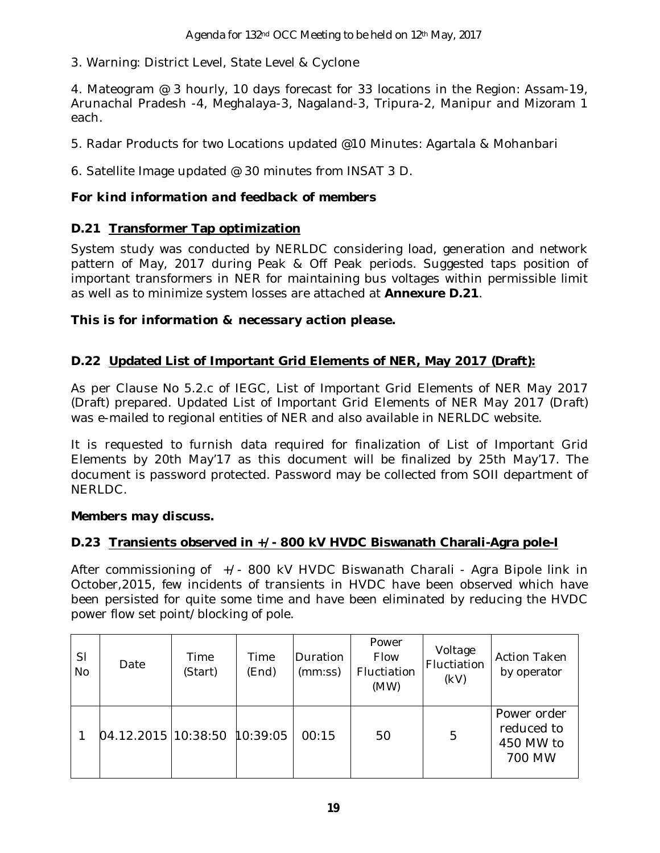3. Warning: District Level, State Level & Cyclone

4. Mateogram @ 3 hourly, 10 days forecast for 33 locations in the Region: Assam-19, Arunachal Pradesh -4, Meghalaya-3, Nagaland-3, Tripura-2, Manipur and Mizoram 1 each.

5. Radar Products for two Locations updated @10 Minutes: Agartala & Mohanbari

6. Satellite Image updated @ 30 minutes from INSAT 3 D.

### *For kind information and feedback of members*

### **D.21 Transformer Tap optimization**

System study was conducted by NERLDC considering load, generation and network pattern of May, 2017 during Peak & Off Peak periods. Suggested taps position of important transformers in NER for maintaining bus voltages within permissible limit as well as to minimize system losses are attached at **Annexure D.21**.

### *This is for information & necessary action please.*

### **D.22 Updated List of Important Grid Elements of NER, May 2017 (Draft):**

As per Clause No 5.2.c of IEGC, List of Important Grid Elements of NER May 2017 (Draft) prepared. Updated List of Important Grid Elements of NER May 2017 (Draft) was e-mailed to regional entities of NER and also available in NERLDC website.

It is requested to furnish data required for finalization of List of Important Grid Elements by 20th May'17 as this document will be finalized by 25th May'17. The document is password protected. Password may be collected from SOII department of NERLDC.

### *Members may discuss.*

### **D.23 Transients observed in +/- 800 kV HVDC Biswanath Charali-Agra pole-I**

After commissioning of +/- 800 kV HVDC Biswanath Charali - Agra Bipole link in October,2015, few incidents of transients in HVDC have been observed which have been persisted for quite some time and have been eliminated by reducing the HVDC power flow set point/blocking of pole.

| SI<br><b>No</b> | Date                           | Time<br>(Start) | Time<br>(End) | Duration<br>(mm:ss) | Power<br>Flow<br>Fluctiation<br>(MW) | Voltage<br>Fluctiation<br>(kV) | <b>Action Taken</b><br>by operator               |
|-----------------|--------------------------------|-----------------|---------------|---------------------|--------------------------------------|--------------------------------|--------------------------------------------------|
|                 | $04.12.2015$ 10:38:50 10:39:05 |                 |               | 00:15               | 50                                   | 5                              | Power order<br>reduced to<br>450 MW to<br>700 MW |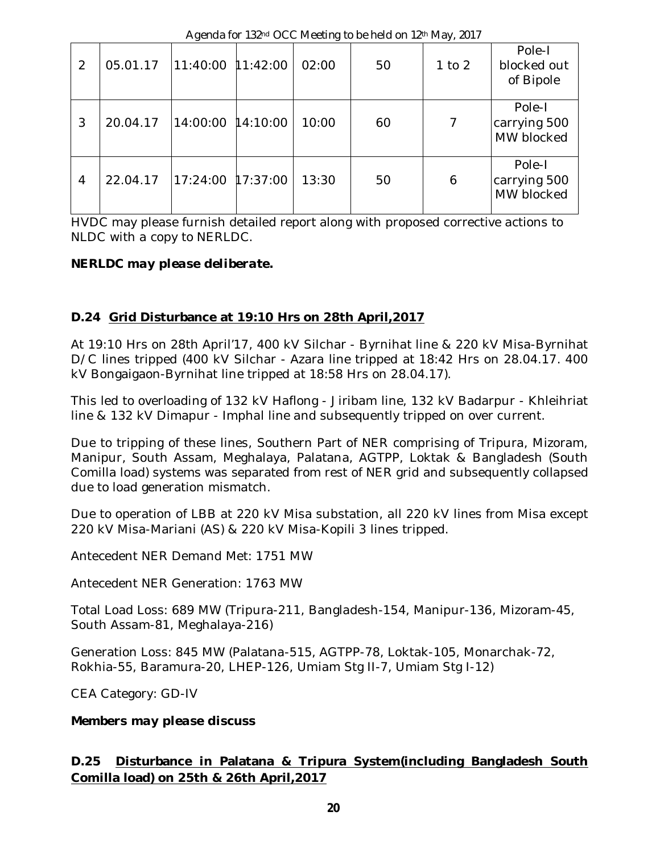|                |          |                     |       | $\frac{1}{2}$ . The state of $\frac{1}{2}$ is the state of $\frac{1}{2}$ . The state of $\frac{1}{2}$ | $ 1 - 1$   |                                      |
|----------------|----------|---------------------|-------|-------------------------------------------------------------------------------------------------------|------------|--------------------------------------|
| 2              | 05.01.17 | $11:40:00$ 11:42:00 | 02:00 | 50                                                                                                    | $1$ to $2$ | Pole-I<br>blocked out<br>of Bipole   |
| 3              | 20.04.17 | 14:00:00 14:10:00   | 10:00 | 60                                                                                                    |            | Pole-I<br>carrying 500<br>MW blocked |
| $\overline{4}$ | 22.04.17 | 17:24:00 17:37:00   | 13:30 | 50                                                                                                    | 6          | Pole-I<br>carrying 500<br>MW blocked |

Agenda for 132nd OCC Meeting to be held on 12th May, 2017

HVDC may please furnish detailed report along with proposed corrective actions to NLDC with a copy to NERLDC.

### *NERLDC may please deliberate.*

### **D.24 Grid Disturbance at 19:10 Hrs on 28th April,2017**

At 19:10 Hrs on 28th April'17, 400 kV Silchar - Byrnihat line & 220 kV Misa-Byrnihat D/C lines tripped (400 kV Silchar - Azara line tripped at 18:42 Hrs on 28.04.17. 400 kV Bongaigaon-Byrnihat line tripped at 18:58 Hrs on 28.04.17).

This led to overloading of 132 kV Haflong - Jiribam line, 132 kV Badarpur - Khleihriat line & 132 kV Dimapur - Imphal line and subsequently tripped on over current.

Due to tripping of these lines, Southern Part of NER comprising of Tripura, Mizoram, Manipur, South Assam, Meghalaya, Palatana, AGTPP, Loktak & Bangladesh (South Comilla load) systems was separated from rest of NER grid and subsequently collapsed due to load generation mismatch.

Due to operation of LBB at 220 kV Misa substation, all 220 kV lines from Misa except 220 kV Misa-Mariani (AS) & 220 kV Misa-Kopili 3 lines tripped.

Antecedent NER Demand Met: 1751 MW

Antecedent NER Generation: 1763 MW

Total Load Loss: 689 MW (Tripura-211, Bangladesh-154, Manipur-136, Mizoram-45, South Assam-81, Meghalaya-216)

Generation Loss: 845 MW (Palatana-515, AGTPP-78, Loktak-105, Monarchak-72, Rokhia-55, Baramura-20, LHEP-126, Umiam Stg II-7, Umiam Stg I-12)

CEA Category: GD-IV

### *Members may please discuss*

### **D.25 Disturbance in Palatana & Tripura System(including Bangladesh South Comilla load) on 25th & 26th April,2017**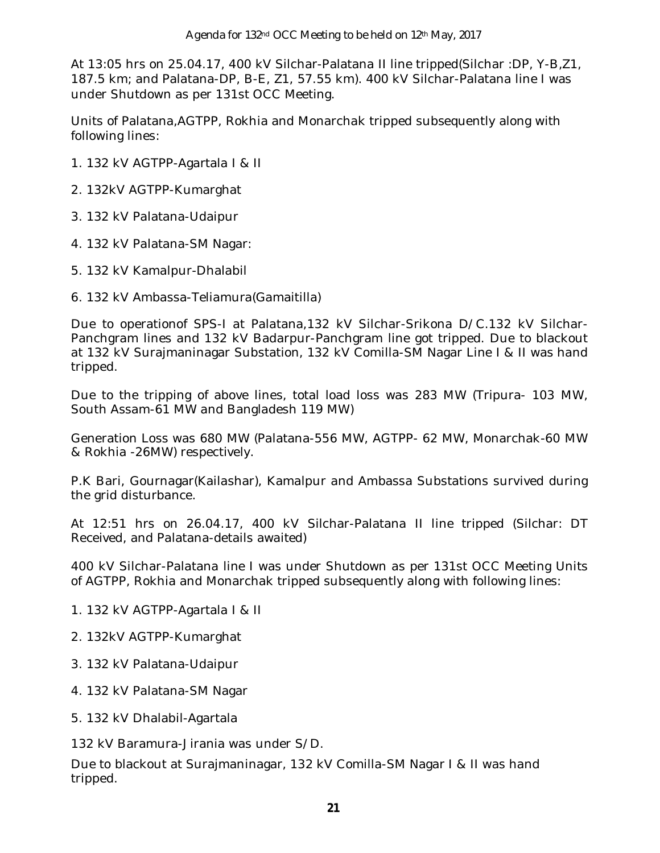At 13:05 hrs on 25.04.17, 400 kV Silchar-Palatana II line tripped(Silchar :DP, Y-B,Z1, 187.5 km; and Palatana-DP, B-E, Z1, 57.55 km). 400 kV Silchar-Palatana line I was under Shutdown as per 131st OCC Meeting.

Units of Palatana,AGTPP, Rokhia and Monarchak tripped subsequently along with following lines:

- 1. 132 kV AGTPP-Agartala I & II
- 2. 132kV AGTPP-Kumarghat
- 3. 132 kV Palatana-Udaipur
- 4. 132 kV Palatana-SM Nagar:
- 5. 132 kV Kamalpur-Dhalabil
- 6. 132 kV Ambassa-Teliamura(Gamaitilla)

Due to operationof SPS-I at Palatana,132 kV Silchar-Srikona D/C.132 kV Silchar-Panchgram lines and 132 kV Badarpur-Panchgram line got tripped. Due to blackout at 132 kV Surajmaninagar Substation, 132 kV Comilla-SM Nagar Line I & II was hand tripped.

Due to the tripping of above lines, total load loss was 283 MW (Tripura- 103 MW, South Assam-61 MW and Bangladesh 119 MW)

Generation Loss was 680 MW (Palatana-556 MW, AGTPP- 62 MW, Monarchak-60 MW & Rokhia -26MW) respectively.

P.K Bari, Gournagar(Kailashar), Kamalpur and Ambassa Substations survived during the grid disturbance.

At 12:51 hrs on 26.04.17, 400 kV Silchar-Palatana II line tripped (Silchar: DT Received, and Palatana-details awaited)

400 kV Silchar-Palatana line I was under Shutdown as per 131st OCC Meeting Units of AGTPP, Rokhia and Monarchak tripped subsequently along with following lines:

- 1. 132 kV AGTPP-Agartala I & II
- 2. 132kV AGTPP-Kumarghat
- 3. 132 kV Palatana-Udaipur
- 4. 132 kV Palatana-SM Nagar
- 5. 132 kV Dhalabil-Agartala

132 kV Baramura-Jirania was under S/D.

Due to blackout at Surajmaninagar, 132 kV Comilla-SM Nagar I & II was hand tripped.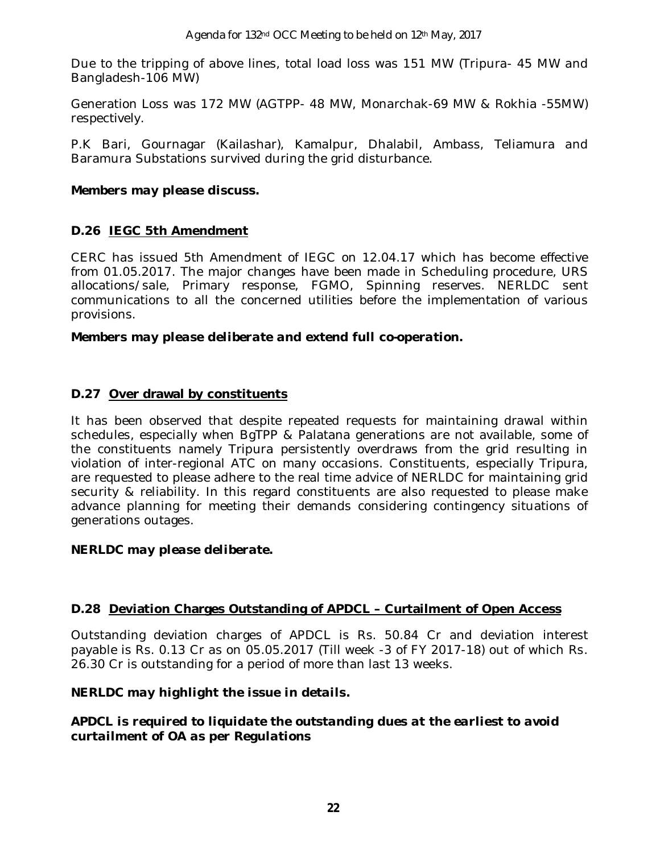Due to the tripping of above lines, total load loss was 151 MW (Tripura- 45 MW and Bangladesh-106 MW)

Generation Loss was 172 MW (AGTPP- 48 MW, Monarchak-69 MW & Rokhia -55MW) respectively.

P.K Bari, Gournagar (Kailashar), Kamalpur, Dhalabil, Ambass, Teliamura and Baramura Substations survived during the grid disturbance.

### *Members may please discuss.*

### **D.26 IEGC 5th Amendment**

CERC has issued 5th Amendment of IEGC on 12.04.17 which has become effective from 01.05.2017. The major changes have been made in Scheduling procedure, URS allocations/sale, Primary response, FGMO, Spinning reserves. NERLDC sent communications to all the concerned utilities before the implementation of various provisions.

*Members may please deliberate and extend full co-operation.*

### **D.27 Over drawal by constituents**

It has been observed that despite repeated requests for maintaining drawal within schedules, especially when BgTPP & Palatana generations are not available, some of the constituents namely Tripura persistently overdraws from the grid resulting in violation of inter-regional ATC on many occasions. Constituents, especially Tripura, are requested to please adhere to the real time advice of NERLDC for maintaining grid security & reliability. In this regard constituents are also requested to please make advance planning for meeting their demands considering contingency situations of generations outages.

### *NERLDC may please deliberate.*

### **D.28 Deviation Charges Outstanding of APDCL – Curtailment of Open Access**

Outstanding deviation charges of APDCL is Rs. 50.84 Cr and deviation interest payable is Rs. 0.13 Cr as on 05.05.2017 (Till week -3 of FY 2017-18) out of which Rs. 26.30 Cr is outstanding for a period of more than last 13 weeks.

### *NERLDC may highlight the issue in details.*

### *APDCL is required to liquidate the outstanding dues at the earliest to avoid curtailment of OA as per Regulations*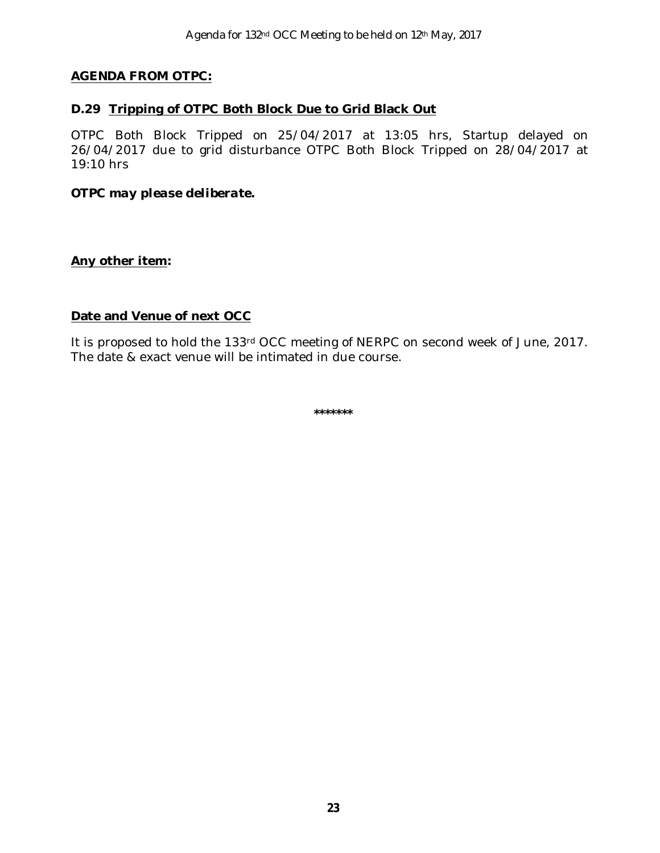### **AGENDA FROM OTPC:**

#### **D.29 Tripping of OTPC Both Block Due to Grid Black Out**

OTPC Both Block Tripped on 25/04/2017 at 13:05 hrs, Startup delayed on 26/04/2017 due to grid disturbance OTPC Both Block Tripped on 28/04/2017 at 19:10 hrs

#### *OTPC may please deliberate.*

#### **Any other item:**

### **Date and Venue of next OCC**

It is proposed to hold the 133rd OCC meeting of NERPC on second week of June, 2017. The date & exact venue will be intimated in due course.

**\*\*\*\*\*\*\***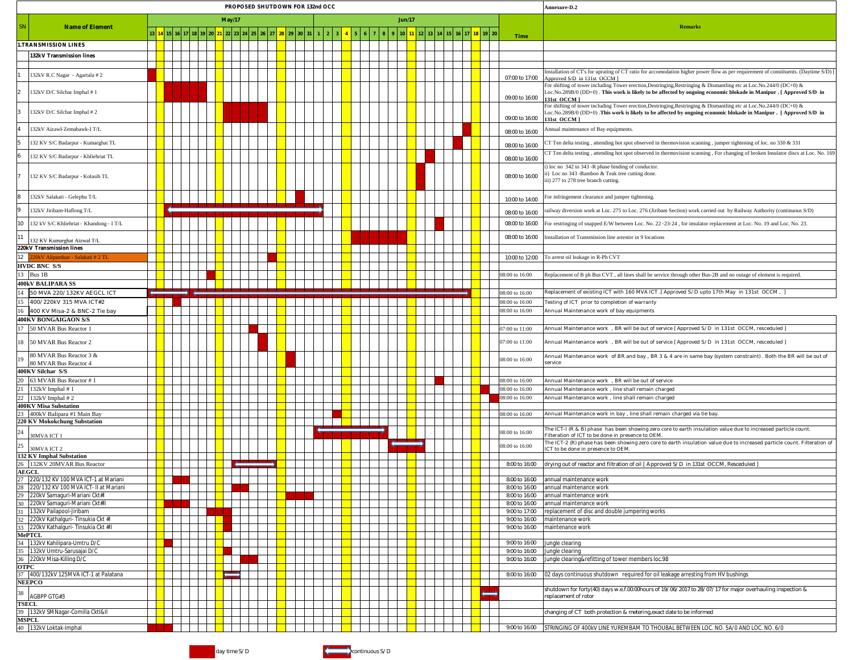|                                                                                    |      |                         |   |  |  |  |  |  | PROPOSED SHUTDOWN FOR 132nd OCC |  |  |  |  |  |  |  |  |  |  |                                  | Annexure-D.2                                                                                                                                                                                                                                                  |
|------------------------------------------------------------------------------------|------|-------------------------|---|--|--|--|--|--|---------------------------------|--|--|--|--|--|--|--|--|--|--|----------------------------------|---------------------------------------------------------------------------------------------------------------------------------------------------------------------------------------------------------------------------------------------------------------|
|                                                                                    |      | <b>Jun/17</b><br>May/17 |   |  |  |  |  |  |                                 |  |  |  |  |  |  |  |  |  |  |                                  |                                                                                                                                                                                                                                                               |
| <b>Name of Element</b>                                                             |      |                         |   |  |  |  |  |  |                                 |  |  |  |  |  |  |  |  |  |  |                                  | <b>Remarks</b>                                                                                                                                                                                                                                                |
| 1.TRANSMISSION LINES                                                               |      |                         |   |  |  |  |  |  |                                 |  |  |  |  |  |  |  |  |  |  | Time                             |                                                                                                                                                                                                                                                               |
| 132kV Transmission lines                                                           |      |                         |   |  |  |  |  |  |                                 |  |  |  |  |  |  |  |  |  |  |                                  |                                                                                                                                                                                                                                                               |
|                                                                                    |      |                         |   |  |  |  |  |  |                                 |  |  |  |  |  |  |  |  |  |  |                                  |                                                                                                                                                                                                                                                               |
| 32kV R.C Nagar - Agartala #2                                                       |      |                         |   |  |  |  |  |  |                                 |  |  |  |  |  |  |  |  |  |  | 07:00 to 17:00                   | installation of CT's for uprating of CT ratio for accomodation higher power flow as per requirement of constituents. (Daytime S/D)<br>pproved S/D in 131st OCCM ]                                                                                             |
| 32kV D/C Silchar Imphal #1                                                         |      |                         |   |  |  |  |  |  |                                 |  |  |  |  |  |  |  |  |  |  | 09:00 to 16:00                   | For shifting of tower including Tower erection, Destringing, Restringing & Dismantling etc at Loc. No. 244/0 (DC+0) &<br>.oc.No.289B/0 (DD+0) . This work is likely to be affected by ongoing economic blokade in Manipur . [ Approved S/D in<br>131st OCCM ] |
| 132kV D/C Silchar Imphal #2                                                        |      |                         |   |  |  |  |  |  |                                 |  |  |  |  |  |  |  |  |  |  | 09:00 to 16:00                   | For shifting of tower including Tower erection, Destringing, Restringing & Dismantling etc at Loc. No.244/0 (DC+0) &<br>.oc.No.289B/0 (DD+0) .This work is likely to be affected by ongoing economic blokade in Manipur . [ Approved S/D in<br>131st OCCM ]   |
| 32kV Aizawl-Zemabawk-I T/L                                                         |      |                         |   |  |  |  |  |  |                                 |  |  |  |  |  |  |  |  |  |  | 08:00 to 16:00                   | Annual maintenance of Bay equipments.                                                                                                                                                                                                                         |
| 32 KV S/C Badarpur - Kumarghat TL                                                  |      |                         |   |  |  |  |  |  |                                 |  |  |  |  |  |  |  |  |  |  | 08:00 to 16:00                   | CT Ten delta testing, attending hot spot observed in thermovision scanning, jumper tightening of loc. no 330 & 331                                                                                                                                            |
| 32 KV S/C Badarpur - Khliehriat TL                                                 |      |                         |   |  |  |  |  |  |                                 |  |  |  |  |  |  |  |  |  |  | 08:00 to 16:00                   | CT Ten delta testing, attending hot spot observed in thermovision scanning, For changing of broken Insulator discs at Loc. No. 169                                                                                                                            |
| 132 KV S/C Badarpur - Kolasib TL                                                   |      |                         |   |  |  |  |  |  |                                 |  |  |  |  |  |  |  |  |  |  | 08:00 to 16:00                   | ) loc no 342 to 343 -R phase binding of conductor.<br>i) Loc no 343 -Bamboo & Teak tree cutting done.<br>iii) 277 to 278 tree branch cutting.                                                                                                                 |
| 132kV Salakati - Gelephu T/L                                                       |      |                         |   |  |  |  |  |  |                                 |  |  |  |  |  |  |  |  |  |  | 10:00 to 14:00                   | For infringement clearance and jumper tightening.                                                                                                                                                                                                             |
| 132kV Jiribam-Haflong T/L                                                          |      |                         |   |  |  |  |  |  |                                 |  |  |  |  |  |  |  |  |  |  | 08:00 to 16:00                   | railway diversion work at Loc. 275 to Loc. 276 (Jiribam Section) work carried out by Railway Authority (continuous S/D)                                                                                                                                       |
| 10<br>32 kV S/C Khliehriat - Khandong - I T/L                                      |      |                         |   |  |  |  |  |  |                                 |  |  |  |  |  |  |  |  |  |  | 08:00 to 16:00                   | For restringing of snapped E/W between Loc. No. 22 - 23-24, for insulator replacement at Loc. No. 19 and Loc. No. 23.                                                                                                                                         |
| 11<br>32 KV Kumarghat Aizwal T/L                                                   |      |                         |   |  |  |  |  |  |                                 |  |  |  |  |  |  |  |  |  |  | 08:00 to 16:00                   | installation of Transmission line arrestor in 9 locations                                                                                                                                                                                                     |
| 220kV Transmission lines<br>12<br>20kV Alipurduar - Salakati # 2 TL                |      |                         |   |  |  |  |  |  |                                 |  |  |  |  |  |  |  |  |  |  | 10:00 to 12:00                   | To arrest oil leakage in R-Ph CVT                                                                                                                                                                                                                             |
| <b>HVDC BNC S/S</b>                                                                |      |                         |   |  |  |  |  |  |                                 |  |  |  |  |  |  |  |  |  |  |                                  |                                                                                                                                                                                                                                                               |
| 13<br>Bus 1B                                                                       |      |                         |   |  |  |  |  |  |                                 |  |  |  |  |  |  |  |  |  |  | 08:00 to 16:00                   | Replacement of B ph Bus CVT, all lines shall be service through other Bus-2B and no outage of element is required.                                                                                                                                            |
| 400kV BALIPARA SS                                                                  |      |                         |   |  |  |  |  |  |                                 |  |  |  |  |  |  |  |  |  |  |                                  |                                                                                                                                                                                                                                                               |
| 14<br>50 MVA 220/132KV AEGCL ICT                                                   |      |                         |   |  |  |  |  |  |                                 |  |  |  |  |  |  |  |  |  |  | 08:00 to 16:00                   | , Replacement of existing ICT with 160 MVA ICT .[ Approved S/D upto 17th May in 131st OCCM                                                                                                                                                                    |
| 15<br>400/220kV 315 MVA ICT#2<br>16<br>400 KV Misa-2 & BNC-2 Tie bay               |      |                         |   |  |  |  |  |  |                                 |  |  |  |  |  |  |  |  |  |  | 08:00 to 16:00<br>08:00 to 16:00 | Festing of ICT prior to completion of warranty<br>Annual Maintenance work of bay equipments                                                                                                                                                                   |
| 400KV BONGAIGAON S/S                                                               |      |                         |   |  |  |  |  |  |                                 |  |  |  |  |  |  |  |  |  |  |                                  |                                                                                                                                                                                                                                                               |
| 17<br>50 MVAR Bus Reactor 1                                                        |      |                         |   |  |  |  |  |  |                                 |  |  |  |  |  |  |  |  |  |  | 07:00 to 11:00                   | Annual Maintenance work , BR will be out of service [ Approved S/D in 131st OCCM, resceduled ]                                                                                                                                                                |
| 18<br>50 MVAR Bus Reactor 2                                                        |      |                         |   |  |  |  |  |  |                                 |  |  |  |  |  |  |  |  |  |  | 07:00 to 11:00                   | Annual Maintenance work , BR will be out of service [ Approved S/D in 131st OCCM, resceduled ]                                                                                                                                                                |
| 80 MVAR Bus Reactor 3 &<br>19<br><b>80 MVAR Bus Reactor 4</b>                      |      |                         |   |  |  |  |  |  |                                 |  |  |  |  |  |  |  |  |  |  | 08:00 to 16:00                   | Annual Maintenance work of BR and bay, BR 3 & 4 are in same bay (system constraint). Both the BR will be out of<br>service                                                                                                                                    |
| 400KV Silchar S/S                                                                  |      |                         |   |  |  |  |  |  |                                 |  |  |  |  |  |  |  |  |  |  |                                  |                                                                                                                                                                                                                                                               |
| 20<br>63 MVAR Bus Reactor #1<br>21<br>132kV Imphal #1                              |      |                         |   |  |  |  |  |  |                                 |  |  |  |  |  |  |  |  |  |  | 08:00 to 16:00<br>08:00 to 16:00 | Annual Maintenance work , BR will be out of service<br>Annual Maintenance work, line shall remain charged                                                                                                                                                     |
| 22<br>132kV Imphal #2                                                              |      |                         |   |  |  |  |  |  |                                 |  |  |  |  |  |  |  |  |  |  | $08:00$ to $16:00$               | Annual Maintenance work, line shall remain charged                                                                                                                                                                                                            |
| 400KV Misa Substation                                                              |      |                         |   |  |  |  |  |  |                                 |  |  |  |  |  |  |  |  |  |  |                                  |                                                                                                                                                                                                                                                               |
| 23<br>400kV Balipara #1 Main Bay                                                   |      |                         |   |  |  |  |  |  |                                 |  |  |  |  |  |  |  |  |  |  | 08:00 to 16:00                   | Annual Maintenance work in bay, line shall remain charged via tie bay                                                                                                                                                                                         |
| 220 KV Mokokchung Substation                                                       |      |                         |   |  |  |  |  |  |                                 |  |  |  |  |  |  |  |  |  |  |                                  | The ICT-I (R & B) phase has been showing zero core to earth insulation value due to increased particle count.                                                                                                                                                 |
| 24<br>30MVA ICT 1                                                                  |      |                         |   |  |  |  |  |  |                                 |  |  |  |  |  |  |  |  |  |  | 08:00 to 16:00                   | ilteration of ICT to be done in presence to OEM<br>The ICT-2 (R) phase has been showing zero core to earth insulation value due to increased particle count. Filteration of                                                                                   |
| 25<br>30MVA ICT 2<br>132 KV Imphal Substation                                      |      |                         |   |  |  |  |  |  |                                 |  |  |  |  |  |  |  |  |  |  | 08:00 to 16:00                   | CT to be done in presence to OEM.                                                                                                                                                                                                                             |
| 26 132KV 20MVAR Bus Reactor                                                        |      |                         |   |  |  |  |  |  |                                 |  |  |  |  |  |  |  |  |  |  | 8:00 to 16:00                    | drying out of reactor and filtration of oil [ Approved S/D in 131st OCCM, Resceduled ]                                                                                                                                                                        |
| <b>AEGCL</b>                                                                       |      |                         |   |  |  |  |  |  |                                 |  |  |  |  |  |  |  |  |  |  |                                  |                                                                                                                                                                                                                                                               |
| 27 220/132 KV 100 MVA ICT-1 at Mariani<br>28 220/132 KV 100 MVA ICT- II at Mariani |      |                         | . |  |  |  |  |  |                                 |  |  |  |  |  |  |  |  |  |  | 8:00 to 16:00                    | 8:00 to 16:00 annual maintenance work<br>annual maintenance worl                                                                                                                                                                                              |
| 29 220kV Samaguri-Mariani Ckt#I                                                    |      |                         |   |  |  |  |  |  |                                 |  |  |  |  |  |  |  |  |  |  | 8:00 to 16:00                    | annual maintenance work                                                                                                                                                                                                                                       |
| 30 220kV Samaguri-Mariani Ckt#II                                                   |      |                         |   |  |  |  |  |  |                                 |  |  |  |  |  |  |  |  |  |  | 8:00 to 16:00                    | annual maintenance work                                                                                                                                                                                                                                       |
| 31 132kV Pailapool-Jiribam                                                         |      |                         |   |  |  |  |  |  |                                 |  |  |  |  |  |  |  |  |  |  | 9:00 to 17:00                    | replacement of disc and double jumpering works                                                                                                                                                                                                                |
| 32 220kV Kathalguri- Tinsukia Ckt #I                                               |      |                         |   |  |  |  |  |  |                                 |  |  |  |  |  |  |  |  |  |  | 9:00 to 16:00                    | maintenance work                                                                                                                                                                                                                                              |
| 33 220kV Kathalguri- Tinsukia Ckt #II<br><b>MePTCL</b>                             |      |                         |   |  |  |  |  |  |                                 |  |  |  |  |  |  |  |  |  |  | 9:00 to 16:00                    | maintenance work                                                                                                                                                                                                                                              |
| 34 132kV Kahilipara-Umtru D/C                                                      |      |                         |   |  |  |  |  |  |                                 |  |  |  |  |  |  |  |  |  |  | 9:00 to 16:00                    | Jungle clearing                                                                                                                                                                                                                                               |
| 35 132kV Umtru-Sarusajai D/C                                                       |      |                         |   |  |  |  |  |  |                                 |  |  |  |  |  |  |  |  |  |  | 9:00 to 16:00                    | Jungle clearing                                                                                                                                                                                                                                               |
| 36 220kV Misa-Killing D/C                                                          |      |                         |   |  |  |  |  |  |                                 |  |  |  |  |  |  |  |  |  |  | 9:00 to 16:00                    | Jungle clearing&refitting of tower members loc.98                                                                                                                                                                                                             |
| <b>OTPC</b><br>37 400/132kV 125MVA ICT-1 at Palatana                               |      |                         |   |  |  |  |  |  |                                 |  |  |  |  |  |  |  |  |  |  | 8:00 to 16:00                    | 02 days continuous shutdown required for oil leakage arresting from HV bushings                                                                                                                                                                               |
| <b>NEEPCO</b>                                                                      |      |                         |   |  |  |  |  |  |                                 |  |  |  |  |  |  |  |  |  |  |                                  | shutdown for forty(40) days w.e.f.00:00hours of 19/06/2017 to 28/07/17 for major overhauling inspection &                                                                                                                                                     |
| 38<br>AGBPP GTG#3                                                                  |      |                         |   |  |  |  |  |  |                                 |  |  |  |  |  |  |  |  |  |  |                                  | eplacement of rotor                                                                                                                                                                                                                                           |
| <b>TSECL</b><br>39 132kV SMNagar-Comilla Cktl≪                                     |      |                         |   |  |  |  |  |  |                                 |  |  |  |  |  |  |  |  |  |  |                                  | changing of CT both protection & metering, exact date to be informed                                                                                                                                                                                          |
| <b>MSPCL</b>                                                                       | a ka |                         |   |  |  |  |  |  |                                 |  |  |  |  |  |  |  |  |  |  |                                  |                                                                                                                                                                                                                                                               |
| 40 132kV Loktak-Imphal                                                             |      |                         |   |  |  |  |  |  |                                 |  |  |  |  |  |  |  |  |  |  | 9:00 to 16:00                    | STRINGING OF 400kV LINE YUREMBAM TO THOUBAL BETWEEN LOC. NO. 5A/0 AND LOC. NO. 6/0                                                                                                                                                                            |

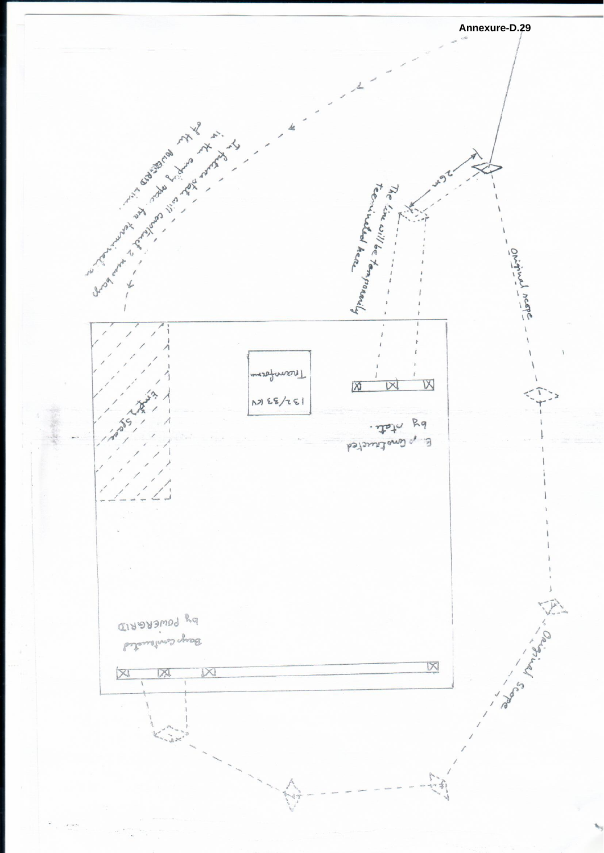